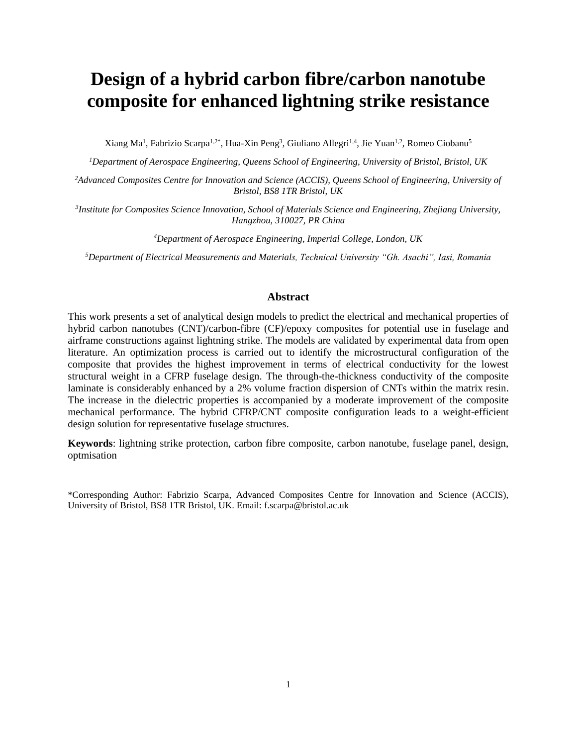# **Design of a hybrid carbon fibre/carbon nanotube composite for enhanced lightning strike resistance**

Xiang Ma<sup>1</sup>, Fabrizio Scarpa<sup>1,2\*</sup>, Hua-Xin Peng<sup>3</sup>, Giuliano Allegri<sup>1,4</sup>, Jie Yuan<sup>1,2</sup>, Romeo Ciobanu<sup>5</sup>

*<sup>1</sup>Department of Aerospace Engineering, Queens School of Engineering, University of Bristol, Bristol, UK*

*<sup>2</sup>Advanced Composites Centre for Innovation and Science (ACCIS), Queens School of Engineering, University of Bristol, BS8 1TR Bristol, UK*

*3 Institute for Composites Science Innovation, School of Materials Science and Engineering, Zhejiang University, Hangzhou, 310027, PR China*

*<sup>4</sup>Department of Aerospace Engineering, Imperial College, London, UK*

*<sup>5</sup>Department of Electrical Measurements and Materials, Technical University "Gh. Asachi", Iasi, Romania*

#### **Abstract**

This work presents a set of analytical design models to predict the electrical and mechanical properties of hybrid carbon nanotubes (CNT)/carbon-fibre (CF)/epoxy composites for potential use in fuselage and airframe constructions against lightning strike. The models are validated by experimental data from open literature. An optimization process is carried out to identify the microstructural configuration of the composite that provides the highest improvement in terms of electrical conductivity for the lowest structural weight in a CFRP fuselage design. The through-the-thickness conductivity of the composite laminate is considerably enhanced by a 2% volume fraction dispersion of CNTs within the matrix resin. The increase in the dielectric properties is accompanied by a moderate improvement of the composite mechanical performance. The hybrid CFRP/CNT composite configuration leads to a weight-efficient design solution for representative fuselage structures.

**Keywords**: lightning strike protection, carbon fibre composite, carbon nanotube, fuselage panel, design, optmisation

\*Corresponding Author: Fabrizio Scarpa, Advanced Composites Centre for Innovation and Science (ACCIS), University of Bristol, BS8 1TR Bristol, UK. Email: f.scarpa@bristol.ac.uk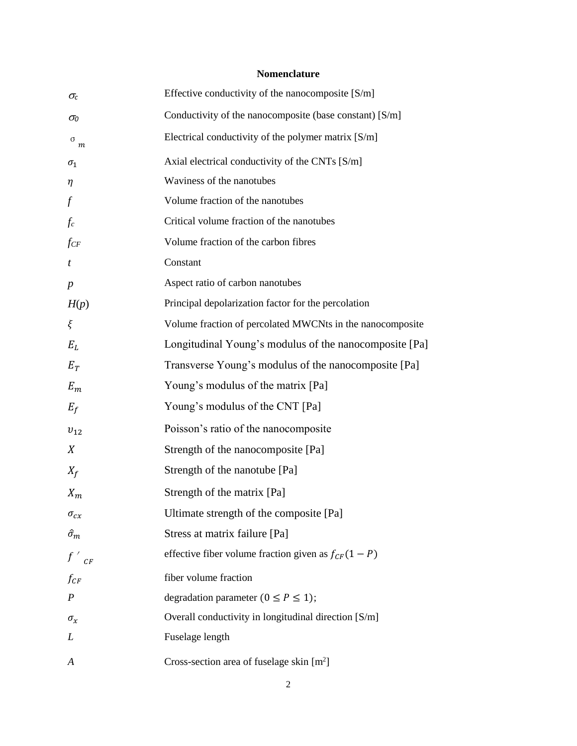### **Nomenclature**

| $\sigma_c$       | Effective conductivity of the nanocomposite $[S/m]$       |
|------------------|-----------------------------------------------------------|
| $\sigma_{\!0}$   | Conductivity of the nanocomposite (base constant) [S/m]   |
| $\,$ o $_{m}$    | Electrical conductivity of the polymer matrix [S/m]       |
| $\sigma_1$       | Axial electrical conductivity of the CNTs [S/m]           |
| $\eta$           | Waviness of the nanotubes                                 |
| $\int$           | Volume fraction of the nanotubes                          |
| $f_c$            | Critical volume fraction of the nanotubes                 |
| $f_{CF}$         | Volume fraction of the carbon fibres                      |
| t                | Constant                                                  |
| $\boldsymbol{p}$ | Aspect ratio of carbon nanotubes                          |
| H(p)             | Principal depolarization factor for the percolation       |
| ξ                | Volume fraction of percolated MWCNts in the nanocomposite |
| $E_L$            | Longitudinal Young's modulus of the nanocomposite [Pa]    |
| $E_T$            | Transverse Young's modulus of the nanocomposite [Pa]      |
| $E_m$            | Young's modulus of the matrix [Pa]                        |
| $E_f$            | Young's modulus of the CNT [Pa]                           |
| $v_{12}$         | Poisson's ratio of the nanocomposite                      |
| X                | Strength of the nanocomposite [Pa]                        |
| $X_f$            | Strength of the nanotube [Pa]                             |
| $X_m$            | Strength of the matrix [Pa]                               |
| $\sigma_{cx}$    | Ultimate strength of the composite [Pa]                   |
| $\hat{\sigma}_m$ | Stress at matrix failure [Pa]                             |
| $f'_{CF}$        | effective fiber volume fraction given as $f_{CF}(1 - P)$  |
| $f_{CF}$         | fiber volume fraction                                     |
| $\boldsymbol{P}$ | degradation parameter ( $0 \le P \le 1$ );                |
| $\sigma_{\!x}$   | Overall conductivity in longitudinal direction [S/m]      |
| L                | Fuselage length                                           |
| A                | Cross-section area of fuselage skin $[m2]$                |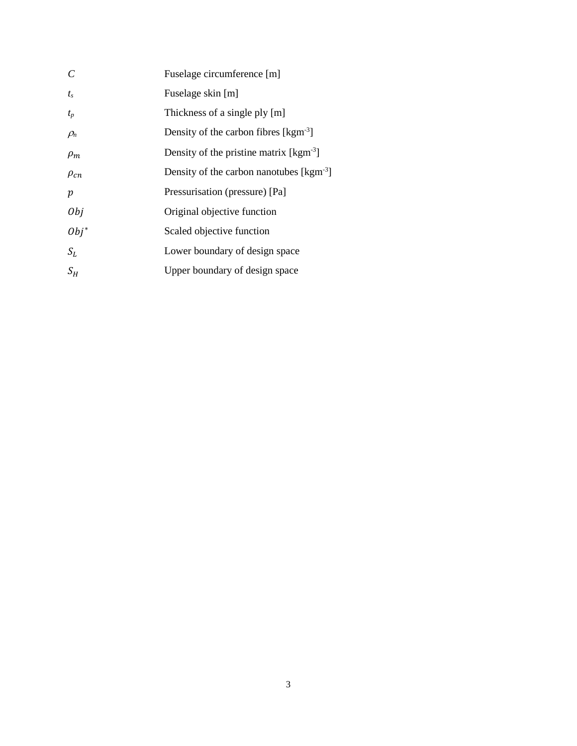| $\mathcal{C}$    | Fuselage circumference [m]                                      |
|------------------|-----------------------------------------------------------------|
| $t_{s}$          | Fuselage skin [m]                                               |
| $t_p$            | Thickness of a single ply [m]                                   |
| $\rho_n$         | Density of the carbon fibres $[kgm-3]$                          |
| $\rho_m$         | Density of the pristine matrix $[kgm3]$                         |
| $\rho_{cn}$      | Density of the carbon nanotubes $\lceil \text{kgm}^{-3} \rceil$ |
| $\boldsymbol{p}$ | Pressurisation (pressure) [Pa]                                  |
| 0bj              | Original objective function                                     |
| $Obj^*$          | Scaled objective function                                       |
| $S_L$            | Lower boundary of design space                                  |
| $S_H$            | Upper boundary of design space                                  |
|                  |                                                                 |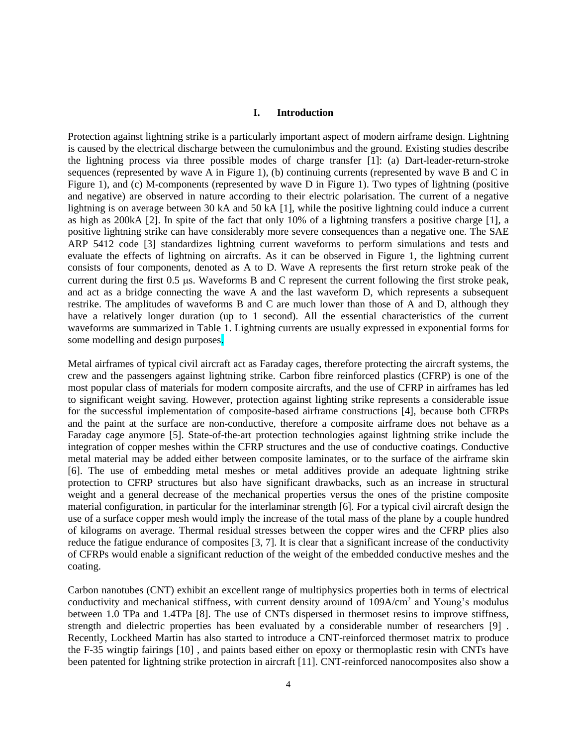#### **I. Introduction**

Protection against lightning strike is a particularly important aspect of modern airframe design. Lightning is caused by the electrical discharge between the cumulonimbus and the ground. Existing studies describe the lightning process via three possible modes of charge transfer [1]: (a) Dart-leader-return-stroke sequences (represented by wave  $\overline{A}$  in [Figure 1\)](#page-5-0), (b) continuing currents (represented by wave  $\overline{B}$  and  $\overline{C}$  in [Figure 1\)](#page-5-0), and (c) M-components (represented by wave D in [Figure 1\)](#page-5-0). Two types of lightning (positive and negative) are observed in nature according to their electric polarisation. The current of a negative lightning is on average between 30 kA and 50 kA [1], while the positive lightning could induce a current as high as 200kA [2]. In spite of the fact that only 10% of a lightning transfers a positive charge [1], a positive lightning strike can have considerably more severe consequences than a negative one. The SAE ARP 5412 code [3] standardizes lightning current waveforms to perform simulations and tests and evaluate the effects of lightning on aircrafts. As it can be observed in [Figure 1,](#page-5-0) the lightning current consists of four components, denoted as A to D. Wave A represents the first return stroke peak of the current during the first  $0.5 \mu s$ . Waveforms B and C represent the current following the first stroke peak, and act as a bridge connecting the wave A and the last waveform D, which represents a subsequent restrike. The amplitudes of waveforms B and C are much lower than those of A and D, although they have a relatively longer duration (up to 1 second). All the essential characteristics of the current waveforms are summarized in [Table 1.](#page-5-1) Lightning currents are usually expressed in exponential forms for some modelling and design purposes.

Metal airframes of typical civil aircraft act as Faraday cages, therefore protecting the aircraft systems, the crew and the passengers against lightning strike. Carbon fibre reinforced plastics (CFRP) is one of the most popular class of materials for modern composite aircrafts, and the use of CFRP in airframes has led to significant weight saving. However, protection against lighting strike represents a considerable issue for the successful implementation of composite-based airframe constructions [4], because both CFRPs and the paint at the surface are non-conductive, therefore a composite airframe does not behave as a Faraday cage anymore [5]. State-of-the-art protection technologies against lightning strike include the integration of copper meshes within the CFRP structures and the use of conductive coatings. Conductive metal material may be added either between composite laminates, or to the surface of the airframe skin [6]. The use of embedding metal meshes or metal additives provide an adequate lightning strike protection to CFRP structures but also have significant drawbacks, such as an increase in structural weight and a general decrease of the mechanical properties versus the ones of the pristine composite material configuration, in particular for the interlaminar strength [6]. For a typical civil aircraft design the use of a surface copper mesh would imply the increase of the total mass of the plane by a couple hundred of kilograms on average. Thermal residual stresses between the copper wires and the CFRP plies also reduce the fatigue endurance of composites [3, 7]. It is clear that a significant increase of the conductivity of CFRPs would enable a significant reduction of the weight of the embedded conductive meshes and the coating.

Carbon nanotubes (CNT) exhibit an excellent range of multiphysics properties both in terms of electrical conductivity and mechanical stiffness, with current density around of 109A/cm<sup>2</sup> and Young's modulus between 1.0 TPa and 1.4TPa [8]. The use of CNTs dispersed in thermoset resins to improve stiffness, strength and dielectric properties has been evaluated by a considerable number of researchers [9] . Recently, Lockheed Martin has also started to introduce a CNT-reinforced thermoset matrix to produce the F-35 wingtip fairings [10] , and paints based either on epoxy or thermoplastic resin with CNTs have been patented for lightning strike protection in aircraft [11]. CNT-reinforced nanocomposites also show a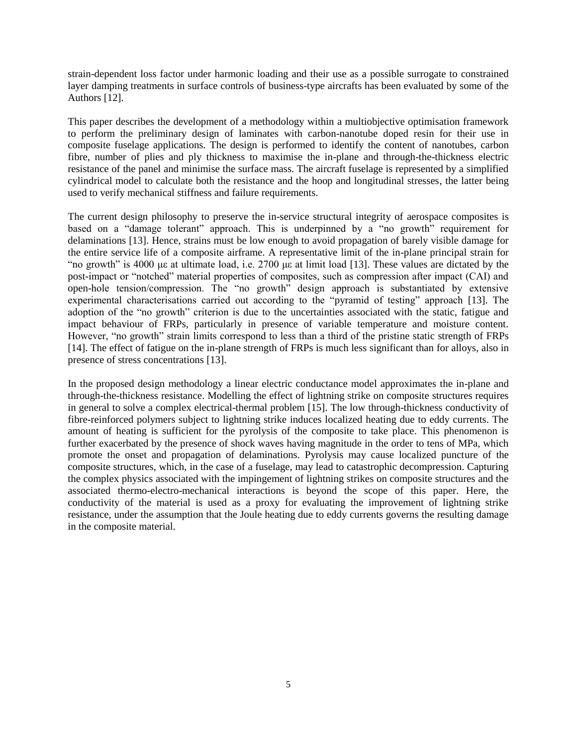strain-dependent loss factor under harmonic loading and their use as a possible surrogate to constrained layer damping treatments in surface controls of business-type aircrafts has been evaluated by some of the Authors [12].

This paper describes the development of a methodology within a multiobjective optimisation framework to perform the preliminary design of laminates with carbon-nanotube doped resin for their use in composite fuselage applications. The design is performed to identify the content of nanotubes, carbon fibre, number of plies and ply thickness to maximise the in-plane and through-the-thickness electric resistance of the panel and minimise the surface mass. The aircraft fuselage is represented by a simplified cylindrical model to calculate both the resistance and the hoop and longitudinal stresses, the latter being used to verify mechanical stiffness and failure requirements.

The current design philosophy to preserve the in-service structural integrity of aerospace composites is based on a "damage tolerant" approach. This is underpinned by a "no growth" requirement for delaminations [13]. Hence, strains must be low enough to avoid propagation of barely visible damage for the entire service life of a composite airframe. A representative limit of the in-plane principal strain for "no growth" is 4000 με at ultimate load, i.e. 2700 με at limit load [13]. These values are dictated by the post-impact or "notched" material properties of composites, such as compression after impact (CAI) and open-hole tension/compression. The "no growth" design approach is substantiated by extensive experimental characterisations carried out according to the "pyramid of testing" approach [13]. The adoption of the "no growth" criterion is due to the uncertainties associated with the static, fatigue and impact behaviour of FRPs, particularly in presence of variable temperature and moisture content. However, "no growth" strain limits correspond to less than a third of the pristine static strength of FRPs [14]. The effect of fatigue on the in-plane strength of FRPs is much less significant than for alloys, also in presence of stress concentrations [13].

In the proposed design methodology a linear electric conductance model approximates the in-plane and through-the-thickness resistance. Modelling the effect of lightning strike on composite structures requires in general to solve a complex electrical-thermal problem [15]. The low through-thickness conductivity of fibre-reinforced polymers subject to lightning strike induces localized heating due to eddy currents. The amount of heating is sufficient for the pyrolysis of the composite to take place. This phenomenon is further exacerbated by the presence of shock waves having magnitude in the order to tens of MPa, which promote the onset and propagation of delaminations. Pyrolysis may cause localized puncture of the composite structures, which, in the case of a fuselage, may lead to catastrophic decompression. Capturing the complex physics associated with the impingement of lightning strikes on composite structures and the associated thermo-electro-mechanical interactions is beyond the scope of this paper. Here, the conductivity of the material is used as a proxy for evaluating the improvement of lightning strike resistance, under the assumption that the Joule heating due to eddy currents governs the resulting damage in the composite material.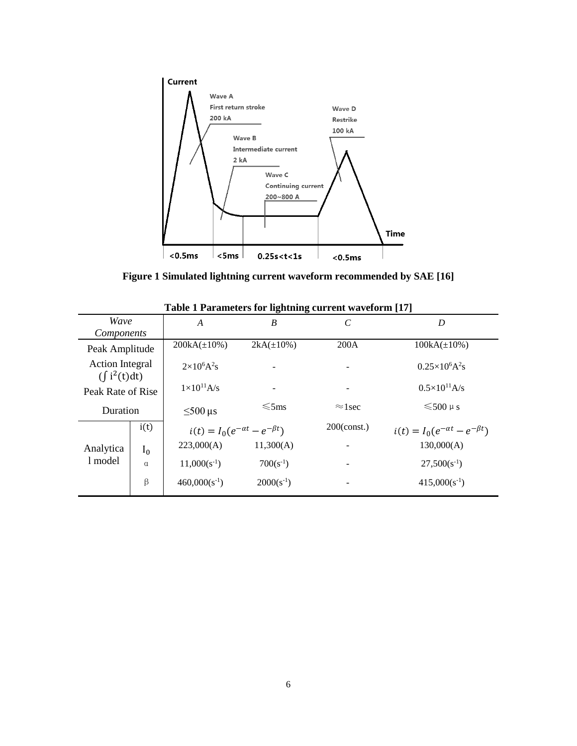

**Figure 1 Simulated lightning current waveform recommended by SAE [16]**

<span id="page-5-1"></span><span id="page-5-0"></span>

|                                             |          |                                            | o<br>$\mathbf{\sigma}$ |                       |                                            |
|---------------------------------------------|----------|--------------------------------------------|------------------------|-----------------------|--------------------------------------------|
| Wave                                        |          | $\overline{A}$                             | B                      | $\mathcal{C}_{0}^{0}$ | D                                          |
| Components                                  |          |                                            |                        |                       |                                            |
| Peak Amplitude                              |          | $200kA(\pm 10\%)$                          | $2kA(\pm 10\%)$        | 200A                  | $100kA(\pm 10\%)$                          |
| <b>Action Integral</b><br>$(\int i^2(t)dt)$ |          | $2\times10^6A^2s$                          |                        |                       | $0.25\times10^6A^2s$                       |
| Peak Rate of Rise                           |          | $1\times10^{11}$ A/s                       |                        |                       | $0.5 \times 10^{11}$ A/s                   |
| Duration                                    |          | $\leq 500$ µs                              | $\leq$ 5ms             | $\approx$ 1 sec       | $\leq 500 \text{ }\mu \text{ s}$           |
|                                             | i(t)     | $i(t) = I_0(e^{-\alpha t} - e^{-\beta t})$ |                        | $200$ (const.)        | $i(t) = I_0(e^{-\alpha t} - e^{-\beta t})$ |
| Analytica                                   | $I_0$    | 223,000(A)                                 | 11,300(A)              |                       | 130,000(A)                                 |
| 1 model                                     | $\alpha$ | $11,000(s^{-1})$                           | $700(s^{-1})$          |                       | $27,500(s^{-1})$                           |
|                                             | β        | $460,000(s^{-1})$                          | $2000(s^{-1})$         |                       | $415,000(s^{-1})$                          |
|                                             |          |                                            |                        |                       |                                            |

**Table 1 Parameters for lightning current waveform [17]**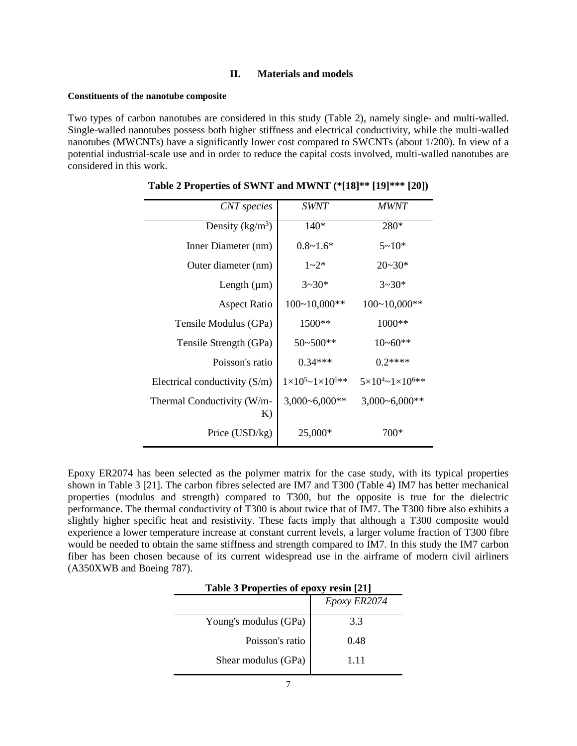#### **II. Materials and models**

#### **Constituents of the nanotube composite**

<span id="page-6-0"></span>Two types of carbon nanotubes are considered in this study [\(Table 2\)](#page-6-0), namely single- and multi-walled. Single-walled nanotubes possess both higher stiffness and electrical conductivity, while the multi-walled nanotubes (MWCNTs) have a significantly lower cost compared to SWCNTs (about 1/200). In view of a potential industrial-scale use and in order to reduce the capital costs involved, multi-walled nanotubes are considered in this work.

| <b>CNT</b> species               | <b>SWNT</b>                         | <i>MWNT</i>                                |
|----------------------------------|-------------------------------------|--------------------------------------------|
| Density $(kg/m^3)$               | $140*$                              | 280*                                       |
| Inner Diameter (nm)              | $0.8 - 1.6*$                        | $5 - 10*$                                  |
| Outer diameter (nm)              | $1 - 2^*$                           | $20 - 30*$                                 |
| Length $(\mu m)$                 | $3 - 30*$                           | $3 - 30*$                                  |
| <b>Aspect Ratio</b>              | $100~10,000**$                      | $100~10,000**$                             |
| Tensile Modulus (GPa)            | 1500**                              | 1000**                                     |
| Tensile Strength (GPa)           | $50 - 500$ **                       | $10 - 60**$                                |
| Poisson's ratio                  | $0.34***$                           | $0.2***$                                   |
| Electrical conductivity $(S/m)$  | $1\times10^{5}$ ~ $1\times10^{6**}$ | $5\times10^{4}$ $\sim$ 1 $\times10^{6}$ ** |
| Thermal Conductivity (W/m-<br>K) | $3,000 - 6,000**$                   | $3,000 - 6,000**$                          |
| Price (USD/kg)                   | 25,000*                             | 700*                                       |

**Table 2 Properties of SWNT and MWNT (\*[18]\*\* [19]\*\*\* [20])**

Epoxy ER2074 has been selected as the polymer matrix for the case study, with its typical properties shown in [Table 3](#page-6-1) [21]. The carbon fibres selected are IM7 and T300 [\(Table 4\)](#page-7-0) IM7 has better mechanical properties (modulus and strength) compared to T300, but the opposite is true for the dielectric performance. The thermal conductivity of T300 is about twice that of IM7. The T300 fibre also exhibits a slightly higher specific heat and resistivity. These facts imply that although a T300 composite would experience a lower temperature increase at constant current levels, a larger volume fraction of T300 fibre would be needed to obtain the same stiffness and strength compared to IM7. In this study the IM7 carbon fiber has been chosen because of its current widespread use in the airframe of modern civil airliners (A350XWB and Boeing 787).

<span id="page-6-1"></span>

| Table 3 Properties of epoxy resin [21] |              |  |
|----------------------------------------|--------------|--|
|                                        | Epoxy ER2074 |  |
| Young's modulus (GPa)                  | 3.3          |  |
| Poisson's ratio                        | 0.48         |  |
| Shear modulus (GPa)                    | 1.11         |  |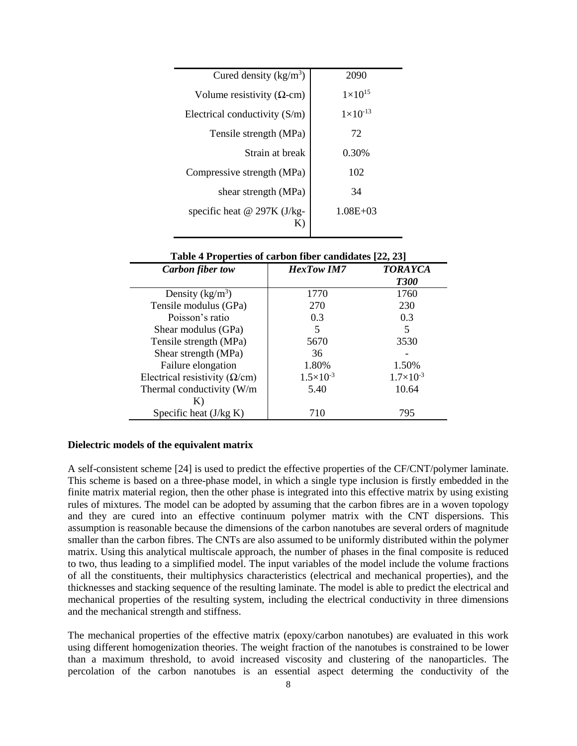| Cured density $(kg/m3)$            | 2090                |
|------------------------------------|---------------------|
| Volume resistivity ( $\Omega$ -cm) | $1 \times 10^{15}$  |
| Electrical conductivity $(S/m)$    | $1 \times 10^{-13}$ |
| Tensile strength (MPa)             | 72                  |
| Strain at break                    | 0.30%               |
| Compressive strength (MPa)         | 102                 |
| shear strength (MPa)               | 34                  |
| specific heat $@$ 297K (J/kg-<br>Κ | $1.08E + 03$        |

<span id="page-7-0"></span>

| <b>Lable + Liberal lies of call both liber candidates</b> $[22, 25]$ |                      |                               |  |  |
|----------------------------------------------------------------------|----------------------|-------------------------------|--|--|
| <b>Carbon</b> fiber tow                                              | <b>HexTow IM7</b>    | <b>TORAYCA</b><br><b>T300</b> |  |  |
| Density $(kg/m^3)$                                                   | 1770                 | 1760                          |  |  |
| Tensile modulus (GPa)                                                | 270                  | 230                           |  |  |
| Poisson's ratio                                                      | 0.3                  | 0.3                           |  |  |
| Shear modulus (GPa)                                                  | 5                    | 5                             |  |  |
| Tensile strength (MPa)                                               | 5670                 | 3530                          |  |  |
| Shear strength (MPa)                                                 | 36                   |                               |  |  |
| Failure elongation                                                   | 1.80%                | 1.50%                         |  |  |
| Electrical resistivity ( $\Omega$ /cm)                               | $1.5 \times 10^{-3}$ | $1.7\times10^{-3}$            |  |  |
| Thermal conductivity (W/m                                            | 5.40                 | 10.64                         |  |  |
|                                                                      |                      |                               |  |  |
| Specific heat $(J/kg K)$                                             | 710                  | 795                           |  |  |

**Table 4 Properties of carbon fiber candidates [22, 23]**

#### **Dielectric models of the equivalent matrix**

A self-consistent scheme [24] is used to predict the effective properties of the CF/CNT/polymer laminate. This scheme is based on a three-phase model, in which a single type inclusion is firstly embedded in the finite matrix material region, then the other phase is integrated into this effective matrix by using existing rules of mixtures. The model can be adopted by assuming that the carbon fibres are in a woven topology and they are cured into an effective continuum polymer matrix with the CNT dispersions. This assumption is reasonable because the dimensions of the carbon nanotubes are several orders of magnitude smaller than the carbon fibres. The CNTs are also assumed to be uniformly distributed within the polymer matrix. Using this analytical multiscale approach, the number of phases in the final composite is reduced to two, thus leading to a simplified model. The input variables of the model include the volume fractions of all the constituents, their multiphysics characteristics (electrical and mechanical properties), and the thicknesses and stacking sequence of the resulting laminate. The model is able to predict the electrical and mechanical properties of the resulting system, including the electrical conductivity in three dimensions and the mechanical strength and stiffness.

The mechanical properties of the effective matrix (epoxy/carbon nanotubes) are evaluated in this work using different homogenization theories. The weight fraction of the nanotubes is constrained to be lower than a maximum threshold, to avoid increased viscosity and clustering of the nanoparticles. The percolation of the carbon nanotubes is an essential aspect determing the conductivity of the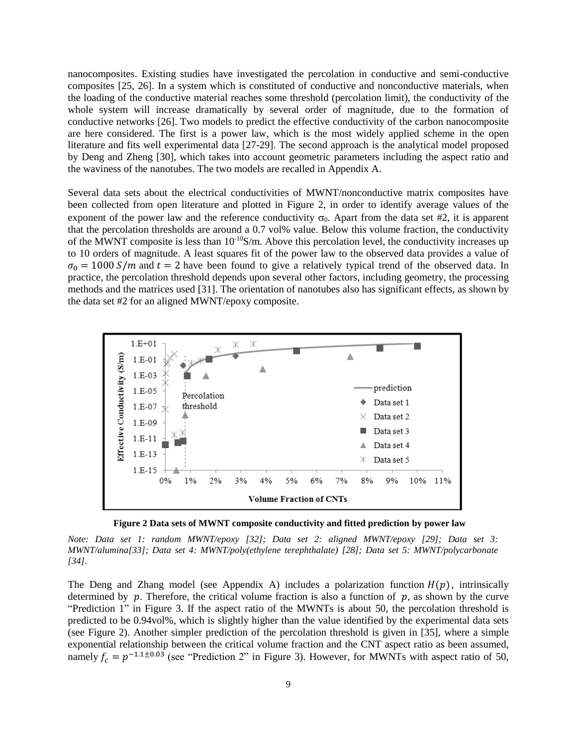nanocomposites. Existing studies have investigated the percolation in conductive and semi-conductive composites [25, 26]. In a system which is constituted of conductive and nonconductive materials, when the loading of the conductive material reaches some threshold (percolation limit), the conductivity of the whole system will increase dramatically by several order of magnitude, due to the formation of conductive networks [26]. Two models to predict the effective conductivity of the carbon nanocomposite are here considered. The first is a power law, which is the most widely applied scheme in the open literature and fits well experimental data [27-29]. The second approach is the analytical model proposed by Deng and Zheng [30], which takes into account geometric parameters including the aspect ratio and the waviness of the nanotubes. The two models are recalled in Appendix A.

Several data sets about the electrical conductivities of MWNT/nonconductive matrix composites have been collected from open literature and plotted in Figure 2, in order to identify average values of the exponent of the power law and the reference conductivity  $\sigma_0$ . Apart from the data set #2, it is apparent that the percolation thresholds are around a 0.7 vol% value. Below this volume fraction, the conductivity of the MWNT composite is less than  $10^{-10}$ S/m. Above this percolation level, the conductivity increases up to 10 orders of magnitude. A least squares fit of the power law to the observed data provides a value of  $\sigma_0 = 1000$  S/m and  $t = 2$  have been found to give a relatively typical trend of the observed data. In practice, the percolation threshold depends upon several other factors, including geometry, the processing methods and the matrices used [31]. The orientation of nanotubes also has significant effects, as shown by the data set #2 for an aligned MWNT/epoxy composite.



**Figure 2 Data sets of MWNT composite conductivity and fitted prediction by power law**

*Note: Data set 1: random MWNT/epoxy [32]; Data set 2: aligned MWNT/epoxy [29]; Data set 3: MWNT/alumina[33]; Data set 4: MWNT/poly(ethylene terephthalate) [28]; Data set 5: MWNT/polycarbonate [34].*

The Deng and Zhang model (see Appendix A) includes a polarization function  $H(p)$ , intrinsically determined by  $p$ . Therefore, the critical volume fraction is also a function of  $p$ , as shown by the curve "Prediction 1" in Figure 3. If the aspect ratio of the MWNTs is about 50, the percolation threshold is predicted to be 0.94vol%, which is slightly higher than the value identified by the experimental data sets (see Figure 2). Another simpler prediction of the percolation threshold is given in [35], where a simple exponential relationship between the critical volume fraction and the CNT aspect ratio as been assumed, namely  $f_c = p^{-1.1 \pm 0.03}$  (see "Prediction 2" in Figure 3). However, for MWNTs with aspect ratio of 50,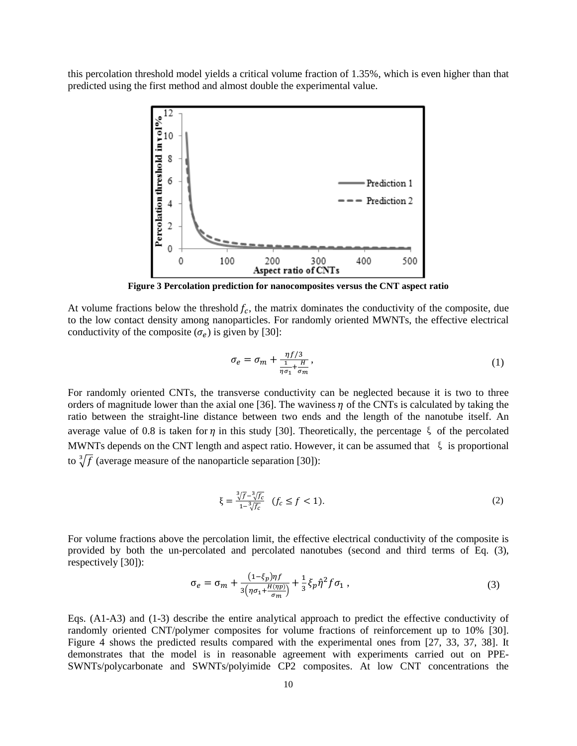this percolation threshold model yields a critical volume fraction of 1.35%, which is even higher than that predicted using the first method and almost double the experimental value.



**Figure 3 Percolation prediction for nanocomposites versus the CNT aspect ratio**

At volume fractions below the threshold  $f_c$ , the matrix dominates the conductivity of the composite, due to the low contact density among nanoparticles. For randomly oriented MWNTs, the effective electrical conductivity of the composite  $(\sigma_e)$  is given by [30]:

$$
\sigma_e = \sigma_m + \frac{\eta f/3}{\frac{1}{\eta \sigma_1} + \frac{H}{\sigma_m}},\tag{1}
$$

For randomly oriented CNTs, the transverse conductivity can be neglected because it is two to three orders of magnitude lower than the axial one [36]. The waviness  $\eta$  of the CNTs is calculated by taking the ratio between the straight-line distance between two ends and the length of the nanotube itself. An average value of 0.8 is taken for  $\eta$  in this study [30]. Theoretically, the percentage  $\xi$  of the percolated MWNTs depends on the CNT length and aspect ratio. However, it can be assumed that  $\xi$  is proportional to  $\sqrt[3]{f}$  (average measure of the nanoparticle separation [30]):

$$
\xi = \frac{\sqrt[3]{f} - \sqrt[3]{f_c}}{1 - \sqrt[3]{f_c}} \quad (f_c \le f < 1). \tag{2}
$$

For volume fractions above the percolation limit, the effective electrical conductivity of the composite is provided by both the un-percolated and percolated nanotubes (second and third terms of Eq. (3), respectively [30]):

$$
\sigma_e = \sigma_m + \frac{(1-\xi_p)\eta f}{3\left(\eta \sigma_1 + \frac{H(\eta p)}{\sigma_m}\right)} + \frac{1}{3}\xi_p \hat{\eta}^2 f \sigma_1 , \qquad (3)
$$

Eqs. (A1-A3) and (1-3) describe the entire analytical approach to predict the effective conductivity of randomly oriented CNT/polymer composites for volume fractions of reinforcement up to 10% [30]. Figure 4 shows the predicted results compared with the experimental ones from [27, 33, 37, 38]. It demonstrates that the model is in reasonable agreement with experiments carried out on PPE-SWNTs/polycarbonate and SWNTs/polyimide CP2 composites. At low CNT concentrations the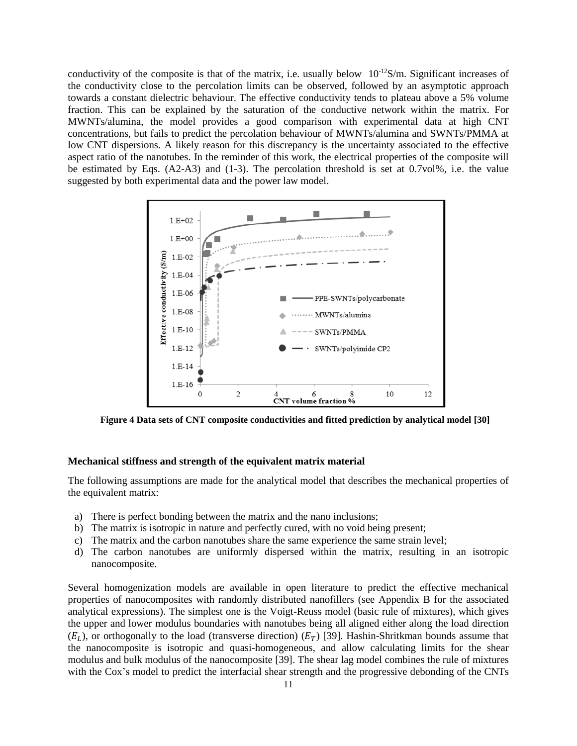conductivity of the composite is that of the matrix, i.e. usually below  $10^{-12}S/m$ . Significant increases of the conductivity close to the percolation limits can be observed, followed by an asymptotic approach towards a constant dielectric behaviour. The effective conductivity tends to plateau above a 5% volume fraction. This can be explained by the saturation of the conductive network within the matrix. For MWNTs/alumina, the model provides a good comparison with experimental data at high CNT concentrations, but fails to predict the percolation behaviour of MWNTs/alumina and SWNTs/PMMA at low CNT dispersions. A likely reason for this discrepancy is the uncertainty associated to the effective aspect ratio of the nanotubes. In the reminder of this work, the electrical properties of the composite will be estimated by Eqs. (A2-A3) and (1-3). The percolation threshold is set at 0.7vol%, i.e. the value suggested by both experimental data and the power law model.

![](_page_10_Figure_1.jpeg)

**Figure 4 Data sets of CNT composite conductivities and fitted prediction by analytical model [30]**

#### **Mechanical stiffness and strength of the equivalent matrix material**

The following assumptions are made for the analytical model that describes the mechanical properties of the equivalent matrix:

- a) There is perfect bonding between the matrix and the nano inclusions;
- b) The matrix is isotropic in nature and perfectly cured, with no void being present;
- c) The matrix and the carbon nanotubes share the same experience the same strain level;
- d) The carbon nanotubes are uniformly dispersed within the matrix, resulting in an isotropic nanocomposite.

Several homogenization models are available in open literature to predict the effective mechanical properties of nanocomposites with randomly distributed nanofillers (see Appendix B for the associated analytical expressions). The simplest one is the Voigt-Reuss model (basic rule of mixtures), which gives the upper and lower modulus boundaries with nanotubes being all aligned either along the load direction  $(E_L)$ , or orthogonally to the load (transverse direction)  $(E_T)$  [39]. Hashin-Shritkman bounds assume that the nanocomposite is isotropic and quasi-homogeneous, and allow calculating limits for the shear modulus and bulk modulus of the nanocomposite [39]. The shear lag model combines the rule of mixtures with the Cox's model to predict the interfacial shear strength and the progressive debonding of the CNTs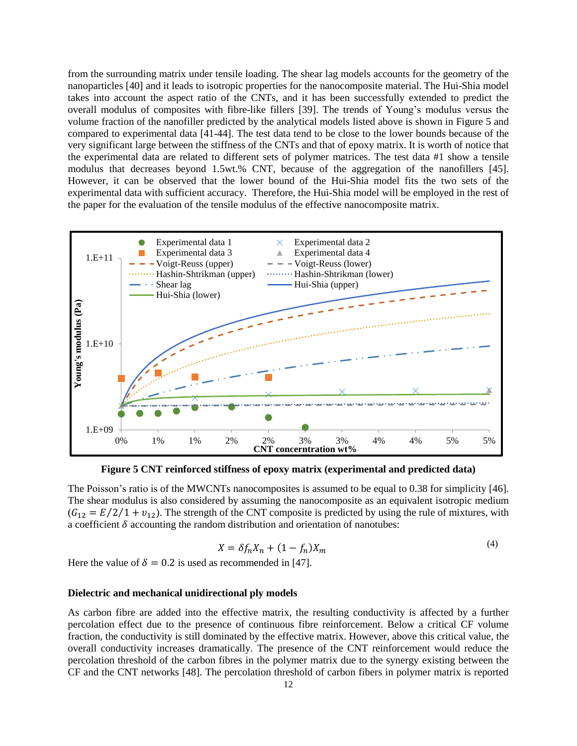from the surrounding matrix under tensile loading. The shear lag models accounts for the geometry of the nanoparticles [40] and it leads to isotropic properties for the nanocomposite material. The Hui-Shia model takes into account the aspect ratio of the CNTs, and it has been successfully extended to predict the overall modulus of composites with fibre-like fillers [39]. The trends of Young's modulus versus the volume fraction of the nanofiller predicted by the analytical models listed above is shown in Figure 5 and compared to experimental data [41-44]. The test data tend to be close to the lower bounds because of the very significant large between the stiffness of the CNTs and that of epoxy matrix. It is worth of notice that the experimental data are related to different sets of polymer matrices. The test data #1 show a tensile modulus that decreases beyond 1.5wt.% CNT, because of the aggregation of the nanofillers [45]. However, it can be observed that the lower bound of the Hui-Shia model fits the two sets of the experimental data with sufficient accuracy. Therefore, the Hui-Shia model will be employed in the rest of the paper for the evaluation of the tensile modulus of the effective nanocomposite matrix.

![](_page_11_Figure_1.jpeg)

**Figure 5 CNT reinforced stiffness of epoxy matrix (experimental and predicted data)**

The Poisson's ratio is of the MWCNTs nanocomposites is assumed to be equal to 0.38 for simplicity [46]. The shear modulus is also considered by assuming the nanocomposite as an equivalent isotropic medium  $(G_{12} = E/2/1 + v_{12})$ . The strength of the CNT composite is predicted by using the rule of mixtures, with a coefficient  $\delta$  accounting the random distribution and orientation of nanotubes:

$$
X = \delta f_n X_n + (1 - f_n) X_m \tag{4}
$$

Here the value of  $\delta = 0.2$  is used as recommended in [47].

#### **Dielectric and mechanical unidirectional ply models**

As carbon fibre are added into the effective matrix, the resulting conductivity is affected by a further percolation effect due to the presence of continuous fibre reinforcement. Below a critical CF volume fraction, the conductivity is still dominated by the effective matrix. However, above this critical value, the overall conductivity increases dramatically. The presence of the CNT reinforcement would reduce the percolation threshold of the carbon fibres in the polymer matrix due to the synergy existing between the CF and the CNT networks [48]. The percolation threshold of carbon fibers in polymer matrix is reported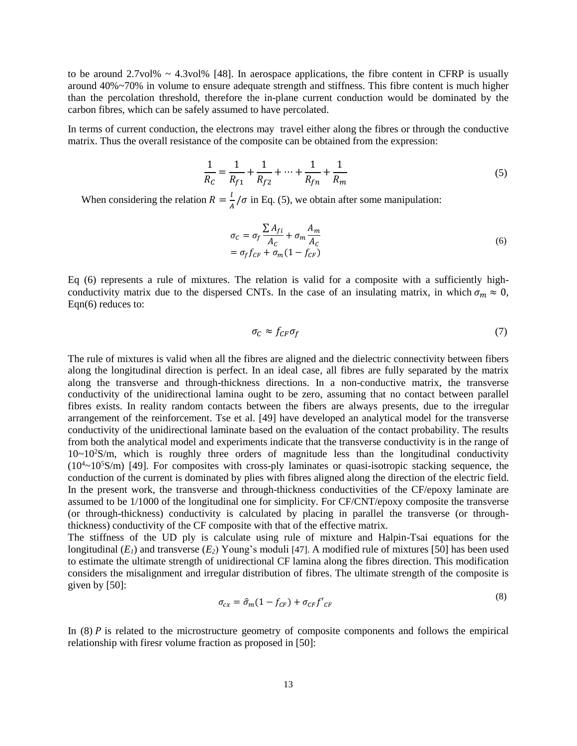to be around  $2.7\text{vol}\% \sim 4.3\text{vol}\%$  [48]. In aerospace applications, the fibre content in CFRP is usually around 40%~70% in volume to ensure adequate strength and stiffness. This fibre content is much higher than the percolation threshold, therefore the in-plane current conduction would be dominated by the carbon fibres, which can be safely assumed to have percolated.

In terms of current conduction, the electrons may travel either along the fibres or through the conductive matrix. Thus the overall resistance of the composite can be obtained from the expression:

$$
\frac{1}{R_C} = \frac{1}{R_{f1}} + \frac{1}{R_{f2}} + \dots + \frac{1}{R_{fn}} + \frac{1}{R_m}
$$
\n(5)

When considering the relation  $R = \frac{l}{l}$  $\frac{1}{A}/\sigma$  in Eq. (5), we obtain after some manipulation:

$$
\sigma_C = \sigma_f \frac{\sum A_{fi}}{A_C} + \sigma_m \frac{A_m}{A_C}
$$
  
=  $\sigma_f f_{CF} + \sigma_m (1 - f_{CF})$  (6)

Eq (6) represents a rule of mixtures. The relation is valid for a composite with a sufficiently highconductivity matrix due to the dispersed CNTs. In the case of an insulating matrix, in which  $\sigma_m \approx 0$ , Eqn(6) reduces to:

$$
\sigma_C \approx f_{CF}\sigma_f \tag{7}
$$

The rule of mixtures is valid when all the fibres are aligned and the dielectric connectivity between fibers along the longitudinal direction is perfect. In an ideal case, all fibres are fully separated by the matrix along the transverse and through-thickness directions. In a non-conductive matrix, the transverse conductivity of the unidirectional lamina ought to be zero, assuming that no contact between parallel fibres exists. In reality random contacts between the fibers are always presents, due to the irregular arrangement of the reinforcement. Tse et al. [49] have developed an analytical model for the transverse conductivity of the unidirectional laminate based on the evaluation of the contact probability. The results from both the analytical model and experiments indicate that the transverse conductivity is in the range of  $10~10^{2}$ S/m, which is roughly three orders of magnitude less than the longitudinal conductivity  $(10^4 \sim 10^5$ S/m) [49]. For composites with cross-ply laminates or quasi-isotropic stacking sequence, the conduction of the current is dominated by plies with fibres aligned along the direction of the electric field. In the present work, the transverse and through-thickness conductivities of the CF/epoxy laminate are assumed to be 1/1000 of the longitudinal one for simplicity. For CF/CNT/epoxy composite the transverse (or through-thickness) conductivity is calculated by placing in parallel the transverse (or throughthickness) conductivity of the CF composite with that of the effective matrix.

The stiffness of the UD ply is calculate using rule of mixture and Halpin-Tsai equations for the longitudinal  $(E<sub>1</sub>)$  and transverse  $(E<sub>2</sub>)$  Young's moduli [47]. A modified rule of mixtures [50] has been used to estimate the ultimate strength of unidirectional CF lamina along the fibres direction. This modification considers the misalignment and irregular distribution of fibres. The ultimate strength of the composite is given by [50]:

$$
\sigma_{cx} = \hat{\sigma}_m (1 - f_{CF}) + \sigma_{CF} f'_{CF}
$$
\n(8)

In  $(8)$  P is related to the microstructure geometry of composite components and follows the empirical relationship with firesr volume fraction as proposed in [50]: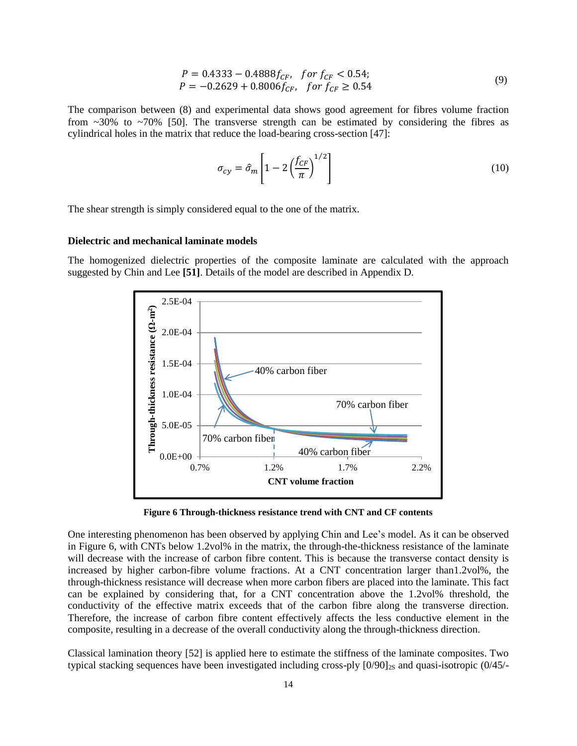$$
P = 0.4333 - 0.4888 f_{CF}, \quad \text{for } f_{CF} < 0.54; \\
P = -0.2629 + 0.8006 f_{CF}, \quad \text{for } f_{CF} \ge 0.54 \tag{9}
$$

The comparison between (8) and experimental data shows good agreement for fibres volume fraction from  $\sim$ 30% to  $\sim$ 70% [50]. The transverse strength can be estimated by considering the fibres as cylindrical holes in the matrix that reduce the load-bearing cross-section [47]:

$$
\sigma_{cy} = \hat{\sigma}_m \left[ 1 - 2 \left( \frac{f_{CF}}{\pi} \right)^{1/2} \right] \tag{10}
$$

The shear strength is simply considered equal to the one of the matrix.

#### **Dielectric and mechanical laminate models**

The homogenized dielectric properties of the composite laminate are calculated with the approach suggested by Chin and Lee **[51]**. Details of the model are described in Appendix D.

![](_page_13_Figure_6.jpeg)

**Figure 6 Through-thickness resistance trend with CNT and CF contents**

One interesting phenomenon has been observed by applying Chin and Lee's model. As it can be observed in Figure 6, with CNTs below 1.2vol% in the matrix, the through-the-thickness resistance of the laminate will decrease with the increase of carbon fibre content. This is because the transverse contact density is increased by higher carbon-fibre volume fractions. At a CNT concentration larger than1.2vol%, the through-thickness resistance will decrease when more carbon fibers are placed into the laminate. This fact can be explained by considering that, for a CNT concentration above the 1.2vol% threshold, the conductivity of the effective matrix exceeds that of the carbon fibre along the transverse direction. Therefore, the increase of carbon fibre content effectively affects the less conductive element in the composite, resulting in a decrease of the overall conductivity along the through-thickness direction.

Classical lamination theory [52] is applied here to estimate the stiffness of the laminate composites. Two typical stacking sequences have been investigated including cross-ply  $[0/90]_{2S}$  and quasi-isotropic  $(0/45/-$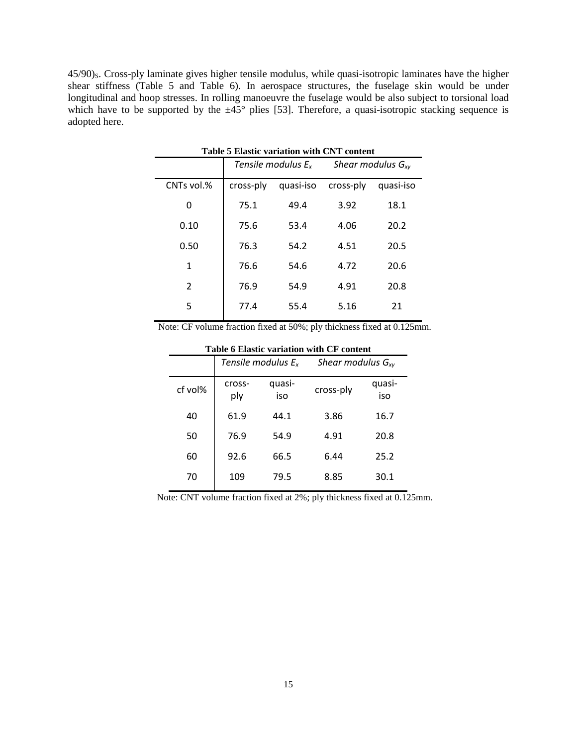<span id="page-14-0"></span>45/90)<sub>S</sub>. Cross-ply laminate gives higher tensile modulus, while quasi-isotropic laminates have the higher shear stiffness [\(Table 5](#page-14-0) and [Table 6\)](#page-14-1). In aerospace structures, the fuselage skin would be under longitudinal and hoop stresses. In rolling manoeuvre the fuselage would be also subject to torsional load which have to be supported by the  $\pm 45^{\circ}$  plies [53]. Therefore, a quasi-isotropic stacking sequence is adopted here.

| Table 5 Elastic variation with CNT content |                       |           |           |                        |  |
|--------------------------------------------|-----------------------|-----------|-----------|------------------------|--|
|                                            | Tensile modulus $E_x$ |           |           | Shear modulus $G_{xy}$ |  |
| CNTs vol.%                                 | cross-ply             | quasi-iso | cross-ply | quasi-iso              |  |
| 0                                          | 75.1                  | 49.4      | 3.92      | 18.1                   |  |
| 0.10                                       | 75.6                  | 53.4      | 4.06      | 20.2                   |  |
| 0.50                                       | 76.3                  | 54.2      | 4.51      | 20.5                   |  |
| 1                                          | 76.6                  | 54.6      | 4.72      | 20.6                   |  |
| 2                                          | 76.9                  | 54.9      | 4.91      | 20.8                   |  |
| 5                                          | 77.4                  | 55.4      | 5.16      | 21                     |  |
|                                            |                       |           |           |                        |  |

**Table 5 Elastic variation with CNT content**

<span id="page-14-1"></span>Note: CF volume fraction fixed at 50%; ply thickness fixed at 0.125mm.

| Tabit o Liasut variation with Cr content |                       |               |                        |               |  |
|------------------------------------------|-----------------------|---------------|------------------------|---------------|--|
|                                          | Tensile modulus $E_x$ |               | Shear modulus $G_{xy}$ |               |  |
| cf vol%                                  | cross-<br>ply         | quasi-<br>iso | cross-ply              | quasi-<br>iso |  |
| 40                                       | 61.9                  | 44.1          | 3.86                   | 16.7          |  |
| 50                                       | 76.9                  | 54.9          | 4.91                   | 20.8          |  |
| 60                                       | 92.6                  | 66.5          | 6.44                   | 25.2          |  |
| 70                                       | 109                   | 79.5          | 8.85                   | 30.1          |  |

**Table 6 Elastic variation with CF content**

Note: CNT volume fraction fixed at 2%; ply thickness fixed at 0.125mm.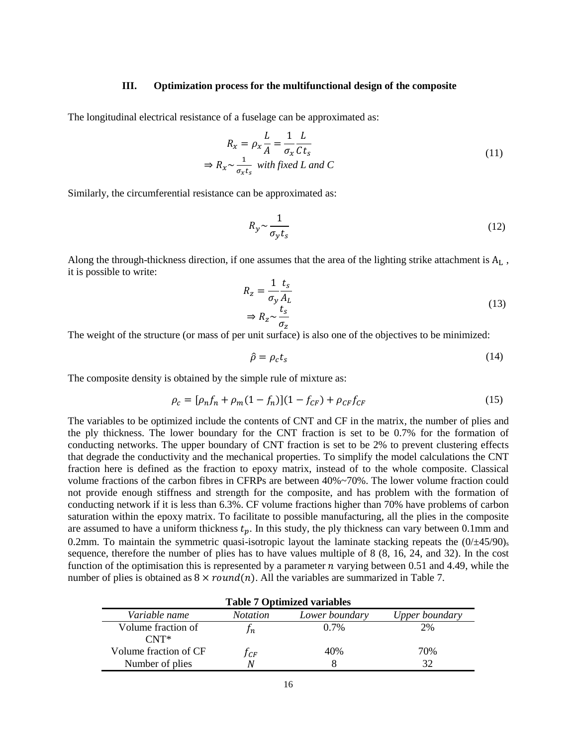#### **III. Optimization process for the multifunctional design of the composite**

 $\mathbf{r}$ 

The longitudinal electrical resistance of a fuselage can be approximated as:

$$
R_x = \rho_x \frac{L}{A} = \frac{1}{\sigma_x} \frac{L}{Ct_s}
$$
  
\n
$$
\Rightarrow R_x \sim \frac{1}{\sigma_x t_s} \text{ with fixed } L \text{ and } C
$$
 (11)

Similarly, the circumferential resistance can be approximated as:

$$
R_{y} \sim \frac{1}{\sigma_{y} t_{s}} \tag{12}
$$

Along the through-thickness direction, if one assumes that the area of the lighting strike attachment is  $A_L$ , it is possible to write:

$$
R_z = \frac{1}{\sigma_y} \frac{t_s}{A_L}
$$
  
\n
$$
\Rightarrow R_z \sim \frac{t_s}{\sigma_z}
$$
 (13)

The weight of the structure (or mass of per unit surface) is also one of the objectives to be minimized:

$$
\hat{\rho} = \rho_c t_s \tag{14}
$$

The composite density is obtained by the simple rule of mixture as:

$$
\rho_c = [\rho_n f_n + \rho_m (1 - f_n)](1 - f_{CF}) + \rho_{CF} f_{CF}
$$
\n(15)

The variables to be optimized include the contents of CNT and CF in the matrix, the number of plies and the ply thickness. The lower boundary for the CNT fraction is set to be 0.7% for the formation of conducting networks. The upper boundary of CNT fraction is set to be 2% to prevent clustering effects that degrade the conductivity and the mechanical properties. To simplify the model calculations the CNT fraction here is defined as the fraction to epoxy matrix, instead of to the whole composite. Classical volume fractions of the carbon fibres in CFRPs are between 40%~70%. The lower volume fraction could not provide enough stiffness and strength for the composite, and has problem with the formation of conducting network if it is less than 6.3%. CF volume fractions higher than 70% have problems of carbon saturation within the epoxy matrix. To facilitate to possible manufacturing, all the plies in the composite are assumed to have a uniform thickness  $t_p$ . In this study, the ply thickness can vary between 0.1mm and 0.2mm. To maintain the symmetric quasi-isotropic layout the laminate stacking repeats the  $(0/\pm 45/90)_{\rm s}$ sequence, therefore the number of plies has to have values multiple of 8 (8, 16, 24, and 32). In the cost function of the optimisation this is represented by a parameter  $n$  varying between 0.51 and 4.49, while the number of plies is obtained as  $8 \times round(n)$ . All the variables are summarized in [Table 7.](#page-15-0)

<span id="page-15-0"></span>

| <b>Table 7 Optimized variables</b>     |                 |                |                |
|----------------------------------------|-----------------|----------------|----------------|
| Variable name                          | <i>Notation</i> | Lower boundary | Upper boundary |
| Volume fraction of<br>$\mathsf{CNT}^*$ | In.             | $0.7\%$        | 2%             |
| Volume fraction of CF                  | Tсғ             | 40%            | 70%            |
| Number of plies                        | N               |                |                |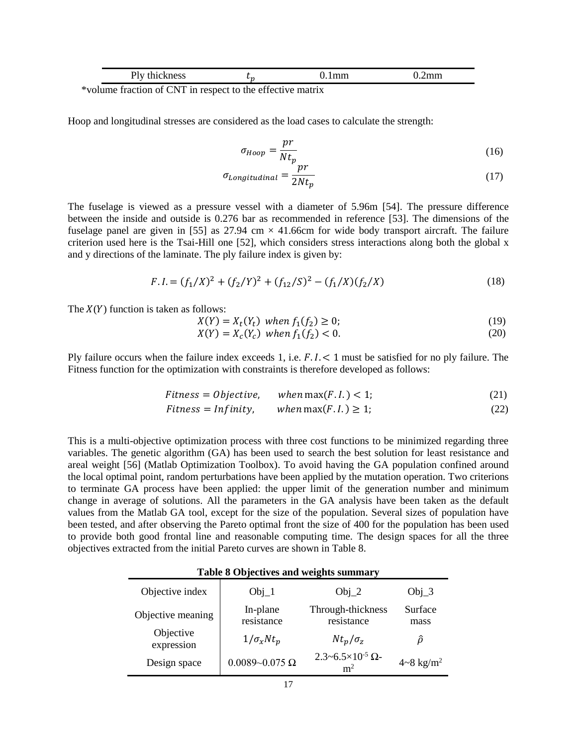| . .        | $\sim$ |  |
|------------|--------|--|
| $C \cap T$ | $\sim$ |  |

\*volume fraction of CNT in respect to the effective matrix

Hoop and longitudinal stresses are considered as the load cases to calculate the strength:

$$
\sigma_{hoop} = \frac{pr}{Nt_p} \tag{16}
$$

$$
\sigma_{Longitudinal} = \frac{p r}{2N t_p} \tag{17}
$$

The fuselage is viewed as a pressure vessel with a diameter of 5.96m [54]. The pressure difference between the inside and outside is 0.276 bar as recommended in reference [53]. The dimensions of the fuselage panel are given in [55] as  $27.94 \text{ cm} \times 41.66 \text{ cm}$  for wide body transport aircraft. The failure criterion used here is the Tsai-Hill one [52], which considers stress interactions along both the global x and y directions of the laminate. The ply failure index is given by:

$$
F.I. = (f_1/X)^2 + (f_2/Y)^2 + (f_{12}/S)^2 - (f_1/X)(f_2/X)
$$
\n(18)

The  $X(Y)$  function is taken as follows:

$$
X(Y) = X_t(Y_t) \text{ when } f_1(f_2) \ge 0; \tag{19}
$$

$$
X(Y) = X_c(Y_c) \text{ when } f_1(f_2) < 0. \tag{20}
$$

Ply failure occurs when the failure index exceeds 1, i.e.  $F.1. < 1$  must be satisfied for no ply failure. The Fitness function for the optimization with constraints is therefore developed as follows:

$$
Fitness = Objective, \qquad when \max(F.I.) < 1; \tag{21}
$$

$$
Fitness = Infinity, \qquad when \max(F.I.) \ge 1; \tag{22}
$$

This is a multi-objective optimization process with three cost functions to be minimized regarding three variables. The genetic algorithm (GA) has been used to search the best solution for least resistance and areal weight [56] (Matlab Optimization Toolbox). To avoid having the GA population confined around the local optimal point, random perturbations have been applied by the mutation operation. Two criterions to terminate GA process have been applied: the upper limit of the generation number and minimum change in average of solutions. All the parameters in the GA analysis have been taken as the default values from the Matlab GA tool, except for the size of the population. Several sizes of population have been tested, and after observing the Pareto optimal front the size of 400 for the population has been used to provide both good frontal line and reasonable computing time. The design spaces for all the three objectives extracted from the initial Pareto curves are shown in [Table 8.](#page-16-0)

#### **Table 8 Objectives and weights summary**

<span id="page-16-0"></span>

| Objective index         | $Obj_1$                 | $Obj_2$                                               | $Obj_3$                   |
|-------------------------|-------------------------|-------------------------------------------------------|---------------------------|
| Objective meaning       | In-plane<br>resistance  | Through-thickness<br>resistance                       | Surface<br>mass           |
| Objective<br>expression | $1/\sigma_x N t_p$      | $Nt_p/\sigma_z$                                       | Ô                         |
| Design space            | $0.0089 - 0.075 \Omega$ | $2.3 - 6.5 \times 10^{-5}$ $\Omega$<br>m <sup>2</sup> | $4 - 8$ kg/m <sup>2</sup> |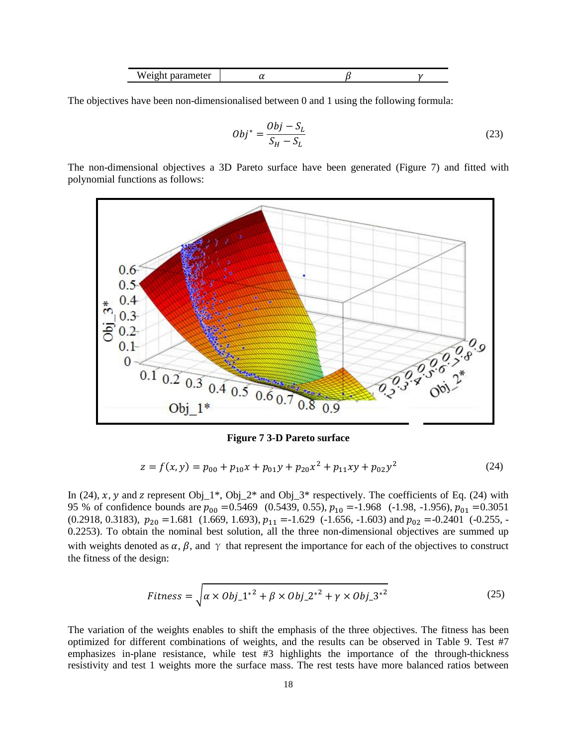|  | w<br>ז בו י<br>,, ,, | ື |  |  |
|--|----------------------|---|--|--|
|--|----------------------|---|--|--|

The objectives have been non-dimensionalised between 0 and 1 using the following formula:

$$
Obj^* = \frac{Obj - S_L}{S_H - S_L} \tag{23}
$$

The non-dimensional objectives a 3D Pareto surface have been generated (Figure 7) and fitted with polynomial functions as follows:

![](_page_17_Figure_4.jpeg)

**Figure 7 3-D Pareto surface**

$$
z = f(x, y) = p_{00} + p_{10}x + p_{01}y + p_{20}x^2 + p_{11}xy + p_{02}y^2
$$
 (24)

In (24), x, y and z represent Obj\_1\*, Obj\_2\* and Obj\_3\* respectively. The coefficients of Eq. (24) with 95 % of confidence bounds are  $p_{00} = 0.5469$  (0.5439, 0.55),  $p_{10} = -1.968$  (-1.98, -1.956),  $p_{01} = 0.3051$ [\(0.2918, 0.3183\),](file:///E:/report%20and%20record/Linear%20model%20Poly22:%20%20%20%20%20f(x,y)%20=%20p00%20+%20p10*x%20+%20p01*y%20+%20p20*x%5e2%20+%20p11*x*y%20+%20p02*y%5e2Coefficients%20(with%2095%25%20confidence%20bounds):%20%20%20%20%20%20%20p00%20=%20%20%20%20%20%200.5469%20%20(0.5439,%200.55)%20%20%20%20%20%20%20p10%20=%20%20%20%20%20%20-1.968%20%20(-1.98,%20-1.956)%20%20%20%20%20%20%20p01%20=%20%20%20%20%20%200.3051%20%20(0.2918,%200.3183)%20%20%20%20%20%20%20p20%20=%20%20%20%20%20%20%201.681%20%20(1.669,%201.693)%20%20%20%20%20%20%20p11%20=%20%20%20%20%20%20-1.629%20%20(-1.656,%20-1.603)%20%20%20%20%20%20%20p02%20=%20%20%20%20%20-0.2401%20%20(-0.255,%20-0.2253)Goodness%20of%20fit:%20%20SSE:%200.009628%20%20R-square:%200.9996%20%20Adjusted%20R-square:%200.9996%20%20RMSE:%200.003725)  $p_{20} = 1.681$  (1.669, 1.693),  $p_{11} = -1.629$  (-1.656, -1.603) and  $p_{02} = -0.2401$  (-0.255, -[0.2253\).](file:///E:/report%20and%20record/Linear%20model%20Poly22:%20%20%20%20%20f(x,y)%20=%20p00%20+%20p10*x%20+%20p01*y%20+%20p20*x%5e2%20+%20p11*x*y%20+%20p02*y%5e2Coefficients%20(with%2095%25%20confidence%20bounds):%20%20%20%20%20%20%20p00%20=%20%20%20%20%20%200.5469%20%20(0.5439,%200.55)%20%20%20%20%20%20%20p10%20=%20%20%20%20%20%20-1.968%20%20(-1.98,%20-1.956)%20%20%20%20%20%20%20p01%20=%20%20%20%20%20%200.3051%20%20(0.2918,%200.3183)%20%20%20%20%20%20%20p20%20=%20%20%20%20%20%20%201.681%20%20(1.669,%201.693)%20%20%20%20%20%20%20p11%20=%20%20%20%20%20%20-1.629%20%20(-1.656,%20-1.603)%20%20%20%20%20%20%20p02%20=%20%20%20%20%20-0.2401%20%20(-0.255,%20-0.2253)Goodness%20of%20fit:%20%20SSE:%200.009628%20%20R-square:%200.9996%20%20Adjusted%20R-square:%200.9996%20%20RMSE:%200.003725) To obtain the nominal best solution, all the three non-dimensional objectives are summed up with weights denoted as  $\alpha$ ,  $\beta$ , and  $\gamma$  that represent the importance for each of the objectives to construct the fitness of the design:

$$
Fitness = \sqrt{\alpha \times Obj\_1^{*2} + \beta \times Obj\_2^{*2} + \gamma \times Obj\_3^{*2}}
$$
\n(25)

The variation of the weights enables to shift the emphasis of the three objectives. The fitness has been optimized for different combinations of weights, and the results can be observed in Table 9. Test #7 emphasizes in-plane resistance, while test #3 highlights the importance of the through-thickness resistivity and test 1 weights more the surface mass. The rest tests have more balanced ratios between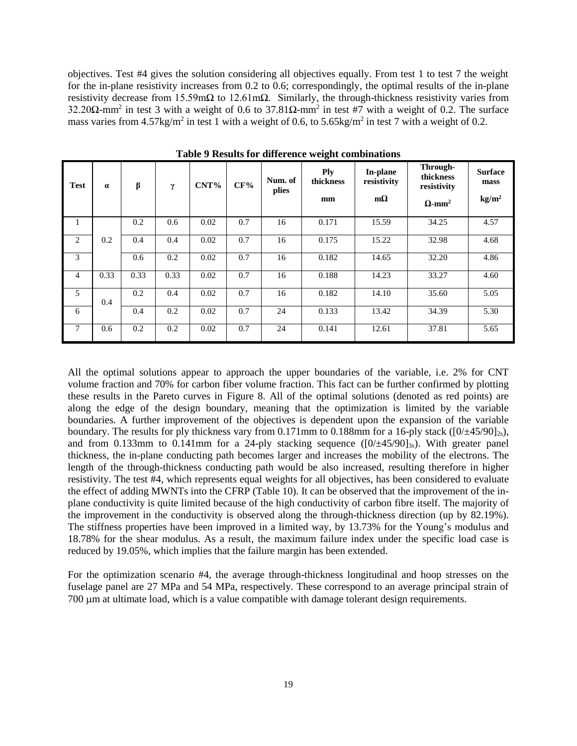objectives. Test #4 gives the solution considering all objectives equally. From test 1 to test 7 the weight for the in-plane resistivity increases from 0.2 to 0.6; correspondingly, the optimal results of the in-plane resistivity decrease from 15.59mΩ to 12.61mΩ. Similarly, the through-thickness resistivity varies from 32.20Ω-mm<sup>2</sup> in test 3 with a weight of 0.6 to 37.81Ω-mm<sup>2</sup> in test #7 with a weight of 0.2. The surface mass varies from  $4.57 \text{kg/m}^2$  in test 1 with a weight of 0.6, to  $5.65 \text{kg/m}^2$  in test 7 with a weight of 0.2.

| Test | $\alpha$ | β    | γ    | CNT% | CF% | Num. of<br>plies | <b>Ply</b><br>thickness<br>mm | In-plane<br>resistivity<br>$m\Omega$ | Through-<br>thickness<br>resistivity<br>$\Omega$ -mm <sup>2</sup> | <b>Surface</b><br>mass<br>kg/m <sup>2</sup> |
|------|----------|------|------|------|-----|------------------|-------------------------------|--------------------------------------|-------------------------------------------------------------------|---------------------------------------------|
|      |          | 0.2  | 0.6  | 0.02 | 0.7 | 16               | 0.171                         | 15.59                                | 34.25                                                             | 4.57                                        |
| 2    | 0.2      | 0.4  | 0.4  | 0.02 | 0.7 | 16               | 0.175                         | 15.22                                | 32.98                                                             | 4.68                                        |
| 3    |          | 0.6  | 0.2  | 0.02 | 0.7 | 16               | 0.182                         | 14.65                                | 32.20                                                             | 4.86                                        |
| 4    | 0.33     | 0.33 | 0.33 | 0.02 | 0.7 | 16               | 0.188                         | 14.23                                | 33.27                                                             | 4.60                                        |
| 5    | 0.4      | 0.2  | 0.4  | 0.02 | 0.7 | 16               | 0.182                         | 14.10                                | 35.60                                                             | 5.05                                        |
| 6    |          | 0.4  | 0.2  | 0.02 | 0.7 | 24               | 0.133                         | 13.42                                | 34.39                                                             | 5.30                                        |
| 7    | 0.6      | 0.2  | 0.2  | 0.02 | 0.7 | 24               | 0.141                         | 12.61                                | 37.81                                                             | 5.65                                        |

**Table 9 Results for difference weight combinations**

All the optimal solutions appear to approach the upper boundaries of the variable, i.e. 2% for CNT volume fraction and 70% for carbon fiber volume fraction. This fact can be further confirmed by plotting these results in the Pareto curves in Figure 8. All of the optimal solutions (denoted as red points) are along the edge of the design boundary, meaning that the optimization is limited by the variable boundaries. A further improvement of the objectives is dependent upon the expansion of the variable boundary. The results for ply thickness vary from 0.171mm to 0.188mm for a 16-ply stack ( $[0/\pm 45/90]_{2s}$ ), and from 0.133mm to 0.141mm for a 24-ply stacking sequence  $([0/±45/90]_{3s})$ . With greater panel thickness, the in-plane conducting path becomes larger and increases the mobility of the electrons. The length of the through-thickness conducting path would be also increased, resulting therefore in higher resistivity. The test #4, which represents equal weights for all objectives, has been considered to evaluate the effect of adding MWNTs into the CFRP [\(Table 10\)](#page-19-0). It can be observed that the improvement of the inplane conductivity is quite limited because of the high conductivity of carbon fibre itself. The majority of the improvement in the conductivity is observed along the through-thickness direction (up by 82.19%). The stiffness properties have been improved in a limited way, by 13.73% for the Young's modulus and 18.78% for the shear modulus. As a result, the maximum failure index under the specific load case is reduced by 19.05%, which implies that the failure margin has been extended.

For the optimization scenario #4, the average through-thickness longitudinal and hoop stresses on the fuselage panel are 27 MPa and 54 MPa, respectively. These correspond to an average principal strain of 700 µm at ultimate load, which is a value compatible with damage tolerant design requirements.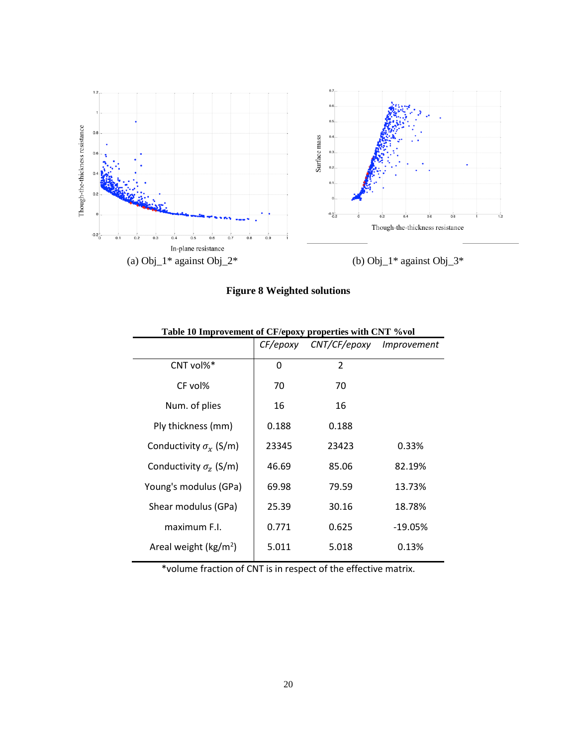![](_page_19_Figure_0.jpeg)

**Figure 8 Weighted solutions**

<span id="page-19-0"></span>

|                                  | CF/epoxy     | CNT/CF/epoxy   | Improvement |
|----------------------------------|--------------|----------------|-------------|
| $CNT$ vol% $*$                   | $\mathbf{0}$ | $\overline{2}$ |             |
| CF vol%                          | 70           | 70             |             |
| Num. of plies                    | 16           | 16             |             |
| Ply thickness (mm)               | 0.188        | 0.188          |             |
| Conductivity $\sigma_{x}$ (S/m)  | 23345        | 23423          | 0.33%       |
| Conductivity $\sigma_z$ (S/m)    | 46.69        | 85.06          | 82.19%      |
| Young's modulus (GPa)            | 69.98        | 79.59          | 13.73%      |
| Shear modulus (GPa)              | 25.39        | 30.16          | 18.78%      |
| maximum F.I.                     | 0.771        | 0.625          | $-19.05%$   |
| Areal weight ( $\text{kg/m}^2$ ) | 5.011        | 5.018          | 0.13%       |
|                                  |              |                |             |

**Table 10 Improvement of CF/epoxy properties with CNT %vol**

\*volume fraction of CNT is in respect of the effective matrix.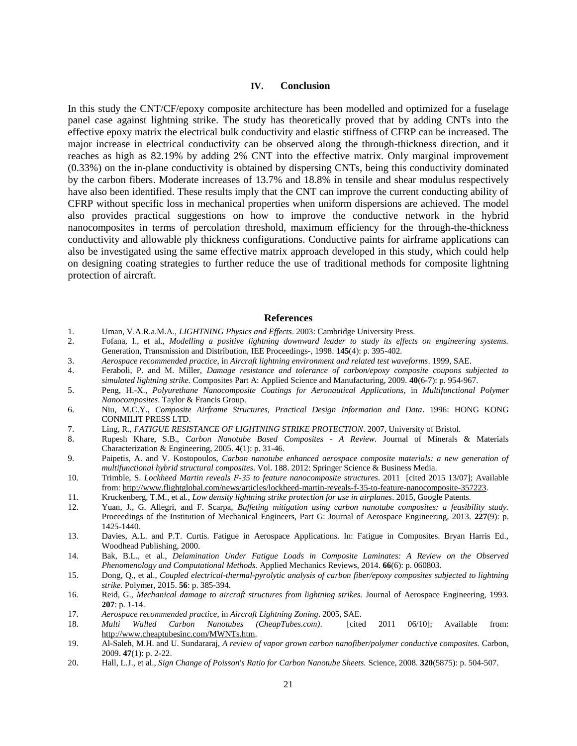#### **IV. Conclusion**

In this study the CNT/CF/epoxy composite architecture has been modelled and optimized for a fuselage panel case against lightning strike. The study has theoretically proved that by adding CNTs into the effective epoxy matrix the electrical bulk conductivity and elastic stiffness of CFRP can be increased. The major increase in electrical conductivity can be observed along the through-thickness direction, and it reaches as high as 82.19% by adding 2% CNT into the effective matrix. Only marginal improvement (0.33%) on the in-plane conductivity is obtained by dispersing CNTs, being this conductivity dominated by the carbon fibers. Moderate increases of 13.7% and 18.8% in tensile and shear modulus respectively have also been identified. These results imply that the CNT can improve the current conducting ability of CFRP without specific loss in mechanical properties when uniform dispersions are achieved. The model also provides practical suggestions on how to improve the conductive network in the hybrid nanocomposites in terms of percolation threshold, maximum efficiency for the through-the-thickness conductivity and allowable ply thickness configurations. Conductive paints for airframe applications can also be investigated using the same effective matrix approach developed in this study, which could help on designing coating strategies to further reduce the use of traditional methods for composite lightning protection of aircraft.

#### **References**

- 1. Uman, V.A.R.a.M.A., *LIGHTNING Physics and Effects*. 2003: Cambridge University Press.
- 2. Fofana, I., et al., *Modelling a positive lightning downward leader to study its effects on engineering systems.* Generation, Transmission and Distribution, IEE Proceedings-, 1998. **145**(4): p. 395-402.
- 3. *Aerospace recommended practice*, in *Aircraft lightning environment and related test waveforms*. 1999, SAE.
- 4. Feraboli, P. and M. Miller, *Damage resistance and tolerance of carbon/epoxy composite coupons subjected to simulated lightning strike.* Composites Part A: Applied Science and Manufacturing, 2009. **40**(6-7): p. 954-967.
- 5. Peng, H.-X., *Polyurethane Nanocomposite Coatings for Aeronautical Applications*, in *Multifunctional Polymer Nanocomposites*. Taylor & Francis Group.
- 6. Niu, M.C.Y., *Composite Airframe Structures, Practical Design Information and Data*. 1996: HONG KONG CONMILIT PRESS LTD.
- 7. Ling, R., *FATIGUE RESISTANCE OF LIGHTNING STRIKE PROTECTION*. 2007, University of Bristol.
- 8. Rupesh Khare, S.B., *Carbon Nanotube Based Composites - A Review.* Journal of Minerals & Materials Characterization & Engineering, 2005. **4**(1): p. 31-46.
- 9. Paipetis, A. and V. Kostopoulos, *Carbon nanotube enhanced aerospace composite materials: a new generation of multifunctional hybrid structural composites*. Vol. 188. 2012: Springer Science & Business Media.
- 10. Trimble, S. *Lockheed Martin reveals F-35 to feature nanocomposite structures*. 2011 [cited 2015 13/07]; Available from: [http://www.flightglobal.com/news/articles/lockheed-martin-reveals-f-35-to-feature-nanocomposite-357223.](http://www.flightglobal.com/news/articles/lockheed-martin-reveals-f-35-to-feature-nanocomposite-357223)
- 11. Kruckenberg, T.M., et al., *Low density lightning strike protection for use in airplanes*. 2015, Google Patents.
- 12. Yuan, J., G. Allegri, and F. Scarpa, *Buffeting mitigation using carbon nanotube composites: a feasibility study.* Proceedings of the Institution of Mechanical Engineers, Part G: Journal of Aerospace Engineering, 2013. **227**(9): p. 1425-1440.
- 13. Davies, A.L. and P.T. Curtis. Fatigue in Aerospace Applications. In: Fatigue in Composites. Bryan Harris Ed., Woodhead Publishing, 2000.
- 14. Bak, B.L., et al., *Delamination Under Fatigue Loads in Composite Laminates: A Review on the Observed Phenomenology and Computational Methods.* Applied Mechanics Reviews, 2014. **66**(6): p. 060803.
- 15. Dong, Q., et al., *Coupled electrical-thermal-pyrolytic analysis of carbon fiber/epoxy composites subjected to lightning strike.* Polymer, 2015. **56**: p. 385-394.
- 16. Reid, G., *Mechanical damage to aircraft structures from lightning strikes.* Journal of Aerospace Engineering, 1993. **207**: p. 1-14.
- 17. *Aerospace recommended practice*, in *Aircraft Lightning Zoning*. 2005, SAE.
- 18. *Multi Walled Carbon Nanotubes (CheapTubes.com)*. [cited 2011 06/10]; Available from: [http://www.cheaptubesinc.com/MWNTs.htm.](http://www.cheaptubesinc.com/MWNTs.htm)
- 19. Al-Saleh, M.H. and U. Sundararaj, *A review of vapor grown carbon nanofiber/polymer conductive composites.* Carbon, 2009. **47**(1): p. 2-22.
- 20. Hall, L.J., et al., *Sign Change of Poisson's Ratio for Carbon Nanotube Sheets.* Science, 2008. **320**(5875): p. 504-507.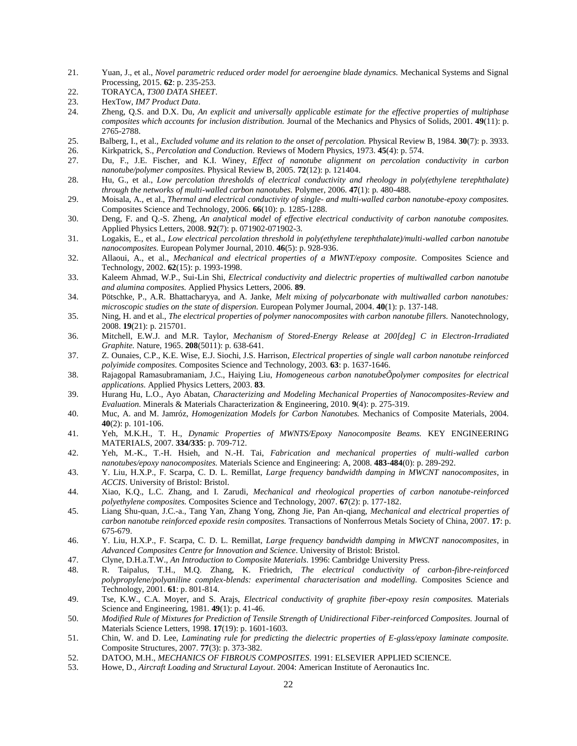- 21. Yuan, J., et al., *Novel parametric reduced order model for aeroengine blade dynamics.* Mechanical Systems and Signal Processing, 2015. **62**: p. 235-253.
- 22. TORAYCA, *T300 DATA SHEET*.
- 23. HexTow, *IM7 Product Data*.
- 24. Zheng, Q.S. and D.X. Du, *An explicit and universally applicable estimate for the effective properties of multiphase composites which accounts for inclusion distribution.* Journal of the Mechanics and Physics of Solids, 2001. **49**(11): p. 2765-2788.
- 25. Balberg, I., et al., *Excluded volume and its relation to the onset of percolation.* Physical Review B, 1984. **30**(7): p. 3933.
- 26. Kirkpatrick, S., *Percolation and Conduction.* Reviews of Modern Physics, 1973. **45**(4): p. 574.
- 27. Du, F., J.E. Fischer, and K.I. Winey, *Effect of nanotube alignment on percolation conductivity in carbon nanotube/polymer composites.* Physical Review B, 2005. **72**(12): p. 121404.
- 28. Hu, G., et al., *Low percolation thresholds of electrical conductivity and rheology in poly(ethylene terephthalate) through the networks of multi-walled carbon nanotubes.* Polymer, 2006. **47**(1): p. 480-488.
- 29. Moisala, A., et al., *Thermal and electrical conductivity of single- and multi-walled carbon nanotube-epoxy composites.* Composites Science and Technology, 2006. **66**(10): p. 1285-1288.
- 30. Deng, F. and Q.-S. Zheng, *An analytical model of effective electrical conductivity of carbon nanotube composites.* Applied Physics Letters, 2008. **92**(7): p. 071902-071902-3.
- 31. Logakis, E., et al., *Low electrical percolation threshold in poly(ethylene terephthalate)/multi-walled carbon nanotube nanocomposites.* European Polymer Journal, 2010. **46**(5): p. 928-936.
- 32. Allaoui, A., et al., *Mechanical and electrical properties of a MWNT/epoxy composite.* Composites Science and Technology, 2002. **62**(15): p. 1993-1998.
- 33. Kaleem Ahmad, W.P., Sui-Lin Shi, *Electrical conductivity and dielectric properties of multiwalled carbon nanotube and alumina composites.* Applied Physics Letters, 2006. **89**.
- 34. Pötschke, P., A.R. Bhattacharyya, and A. Janke, *Melt mixing of polycarbonate with multiwalled carbon nanotubes: microscopic studies on the state of dispersion.* European Polymer Journal, 2004. **40**(1): p. 137-148.
- 35. Ning, H. and et al., *The electrical properties of polymer nanocomposites with carbon nanotube fillers.* Nanotechnology, 2008. **19**(21): p. 215701.
- 36. Mitchell, E.W.J. and M.R. Taylor, *Mechanism of Stored-Energy Release at 200[deg] C in Electron-Irradiated Graphite.* Nature, 1965. **208**(5011): p. 638-641.
- 37. Z. Ounaies, C.P., K.E. Wise, E.J. Siochi, J.S. Harrison, *Electrical properties of single wall carbon nanotube reinforced polyimide composites.* Composites Science and Technology, 2003. **63**: p. 1637-1646.
- 38. Rajagopal Ramasubramaniam, J.C., Haiying Liu, *Homogeneous carbon nanotubeÕpolymer composites for electrical applications.* Applied Physics Letters, 2003. **83**.
- 39. Hurang Hu, L.O., Ayo Abatan, *Characterizing and Modeling Mechanical Properties of Nanocomposites-Review and Evaluation.* Minerals & Materials Characterization & Engineering, 2010. **9**(4): p. 275-319.
- 40. Muc, A. and M. Jamróz, *Homogenization Models for Carbon Nanotubes.* Mechanics of Composite Materials, 2004. **40**(2): p. 101-106.
- 41. Yeh, M.K.H., T. H., *Dynamic Properties of MWNTS/Epoxy Nanocomposite Beams.* KEY ENGINEERING MATERIALS, 2007. **334/335**: p. 709-712.
- 42. Yeh, M.-K., T.-H. Hsieh, and N.-H. Tai, *Fabrication and mechanical properties of multi-walled carbon nanotubes/epoxy nanocomposites.* Materials Science and Engineering: A, 2008. **483-484**(0): p. 289-292.
- 43. Y. Liu, H.X.P., F. Scarpa, C. D. L. Remillat, *Large frequency bandwidth damping in MWCNT nanocomposites*, in *ACCIS*. University of Bristol: Bristol.
- 44. Xiao, K.Q., L.C. Zhang, and I. Zarudi, *Mechanical and rheological properties of carbon nanotube-reinforced polyethylene composites.* Composites Science and Technology, 2007. **67**(2): p. 177-182.
- 45. Liang Shu-quan, J.C.-a., Tang Yan, Zhang Yong, Zhong Jie, Pan An-qiang, *Mechanical and electrical properties of carbon nanotube reinforced epoxide resin composites.* Transactions of Nonferrous Metals Society of China, 2007. **17**: p. 675-679.
- 46. Y. Liu, H.X.P., F. Scarpa, C. D. L. Remillat, *Large frequency bandwidth damping in MWCNT nanocomposites*, in *Advanced Composites Centre for Innovation and Science*. University of Bristol: Bristol.
- 47. Clyne, D.H.a.T.W., *An Introduction to Composite Materials*. 1996: Cambridge University Press.
- 48. R. Taipalus, T.H., M.Q. Zhang, K. Friedrich, *The electrical conductivity of carbon-fibre-reinforced polypropylene/polyaniline complex-blends: experimental characterisation and modelling.* Composites Science and Technology, 2001. **61**: p. 801-814.
- 49. Tse, K.W., C.A. Moyer, and S. Arajs, *Electrical conductivity of graphite fiber-epoxy resin composites.* Materials Science and Engineering, 1981. **49**(1): p. 41-46.
- 50. *Modified Rule of Mixtures for Prediction of Tensile Strength of Unidirectional Fiber-reinforced Composites.* Journal of Materials Science Letters, 1998. **17**(19): p. 1601-1603.
- 51. Chin, W. and D. Lee, *Laminating rule for predicting the dielectric properties of E-glass/epoxy laminate composite.* Composite Structures, 2007. **77**(3): p. 373-382.
- 52. DATOO, M.H., *MECHANICS OF FIBROUS COMPOSITES*. 1991: ELSEVIER APPLIED SCIENCE.
- 53. Howe, D., *Aircraft Loading and Structural Layout*. 2004: American Institute of Aeronautics Inc.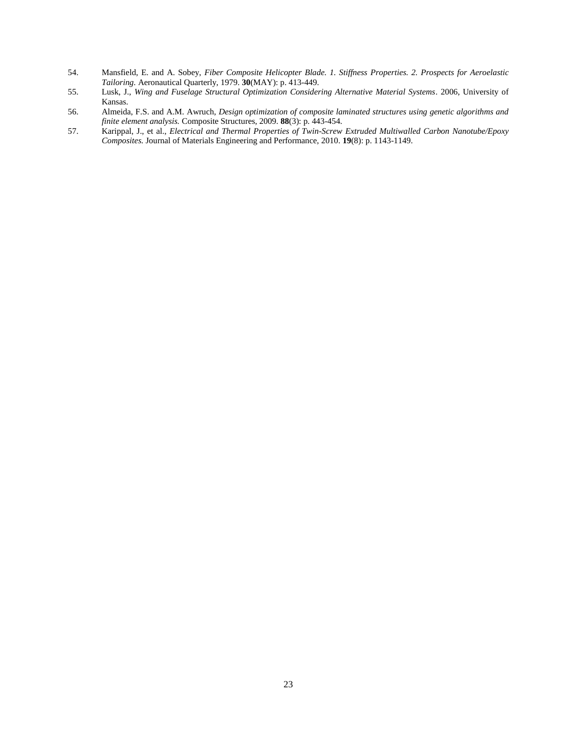- 54. Mansfield, E. and A. Sobey, *Fiber Composite Helicopter Blade. 1. Stiffness Properties. 2. Prospects for Aeroelastic Tailoring.* Aeronautical Quarterly, 1979. **30**(MAY): p. 413-449.
- 55. Lusk, J., *Wing and Fuselage Structural Optimization Considering Alternative Material Systems*. 2006, University of Kansas.
- 56. Almeida, F.S. and A.M. Awruch, *Design optimization of composite laminated structures using genetic algorithms and finite element analysis.* Composite Structures, 2009. **88**(3): p. 443-454.
- 57. Karippal, J., et al., *Electrical and Thermal Properties of Twin-Screw Extruded Multiwalled Carbon Nanotube/Epoxy Composites.* Journal of Materials Engineering and Performance, 2010. **19**(8): p. 1143-1149.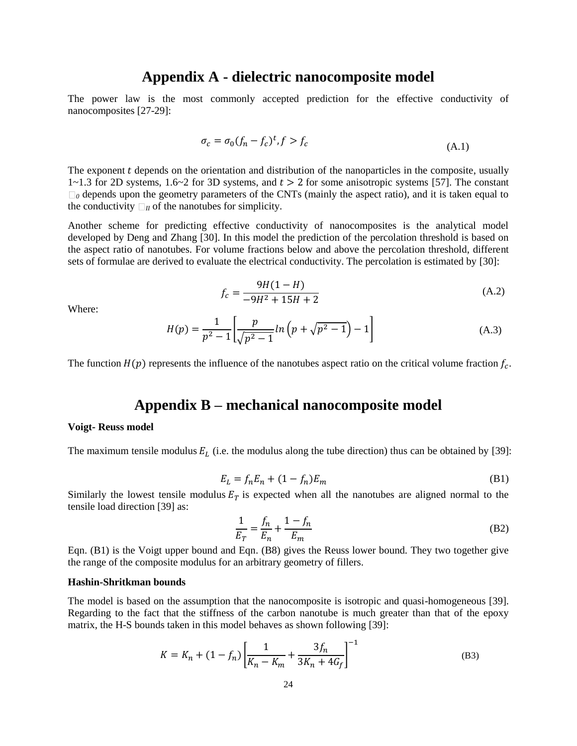# **Appendix A - dielectric nanocomposite model**

The power law is the most commonly accepted prediction for the effective conductivity of nanocomposites [27-29]:

$$
\sigma_c = \sigma_0 (f_n - f_c)^t, f > f_c \tag{A.1}
$$

The exponent  $t$  depends on the orientation and distribution of the nanoparticles in the composite, usually  $1~1~1~3$  for 2D systems,  $1.6~2$  for 3D systems, and  $t > 2$  for some anisotropic systems [57]. The constant  $\Box$ <sub>0</sub> depends upon the geometry parameters of the CNTs (mainly the aspect ratio), and it is taken equal to the conductivity  $\Box_{II}$  of the nanotubes for simplicity.

Another scheme for predicting effective conductivity of nanocomposites is the analytical model developed by Deng and Zhang [30]. In this model the prediction of the percolation threshold is based on the aspect ratio of nanotubes. For volume fractions below and above the percolation threshold, different sets of formulae are derived to evaluate the electrical conductivity. The percolation is estimated by [30]:

$$
f_c = \frac{9H(1 - H)}{-9H^2 + 15H + 2}
$$
 (A.2)

Where:

$$
H(p) = \frac{1}{p^2 - 1} \left[ \frac{p}{\sqrt{p^2 - 1}} \ln \left( p + \sqrt{p^2 - 1} \right) - 1 \right]
$$
 (A.3)

The function  $H(p)$  represents the influence of the nanotubes aspect ratio on the critical volume fraction  $f_c$ .

# **Appendix B – mechanical nanocomposite model**

#### **Voigt- Reuss model**

The maximum tensile modulus  $E<sub>L</sub>$  (i.e. the modulus along the tube direction) thus can be obtained by [39]:

$$
E_L = f_n E_n + (1 - f_n) E_m \tag{B1}
$$

Similarly the lowest tensile modulus  $E_T$  is expected when all the nanotubes are aligned normal to the tensile load direction [39] as:

$$
\frac{1}{E_T} = \frac{f_n}{E_n} + \frac{1 - f_n}{E_m} \tag{B2}
$$

Eqn. (B1) is the Voigt upper bound and Eqn. (B8) gives the Reuss lower bound. They two together give the range of the composite modulus for an arbitrary geometry of fillers.

#### **Hashin-Shritkman bounds**

The model is based on the assumption that the nanocomposite is isotropic and quasi-homogeneous [39]. Regarding to the fact that the stiffness of the carbon nanotube is much greater than that of the epoxy matrix, the H-S bounds taken in this model behaves as shown following [39]:

$$
K = K_n + (1 - f_n) \left[ \frac{1}{K_n - K_m} + \frac{3f_n}{3K_n + 4G_f} \right]^{-1}
$$
 (B3)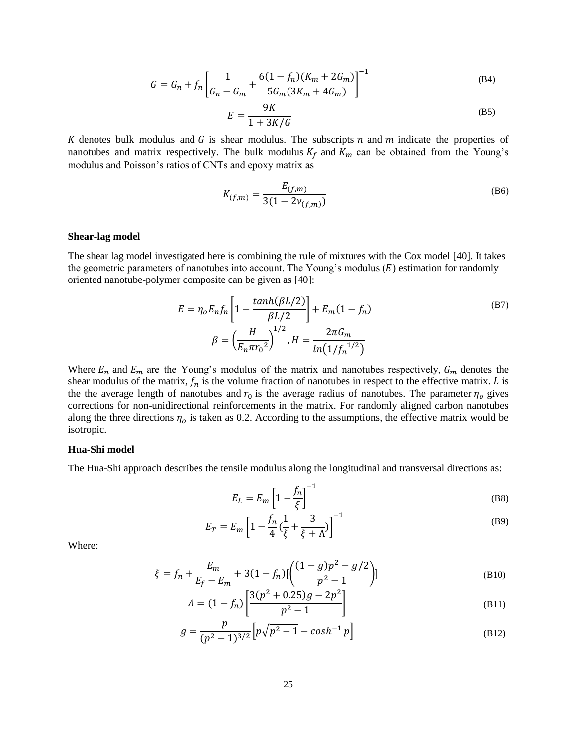$$
G = G_n + f_n \left[ \frac{1}{G_n - G_m} + \frac{6(1 - f_n)(K_m + 2G_m)}{5G_m(3K_m + 4G_m)} \right]^{-1}
$$
(B4)

$$
E = \frac{9K}{1 + 3K/G} \tag{B5}
$$

K denotes bulk modulus and  $G$  is shear modulus. The subscripts  $n$  and  $m$  indicate the properties of nanotubes and matrix respectively. The bulk modulus  $K_f$  and  $K_m$  can be obtained from the Young's modulus and Poisson's ratios of CNTs and epoxy matrix as

$$
K_{(f,m)} = \frac{E_{(f,m)}}{3(1 - 2v_{(f,m)})}
$$
(B6)

#### **Shear-lag model**

The shear lag model investigated here is combining the rule of mixtures with the Cox model [40]. It takes the geometric parameters of nanotubes into account. The Young's modulus  $(E)$  estimation for randomly oriented nanotube-polymer composite can be given as [40]:

$$
E = \eta_o E_n f_n \left[ 1 - \frac{\tanh(\beta L/2)}{\beta L/2} \right] + E_m (1 - f_n)
$$
\n
$$
\beta = \left( \frac{H}{E_n \pi r_0^2} \right)^{1/2}, H = \frac{2\pi G_m}{\ln(1/f_n^{1/2})}
$$
\n(B7)

Where  $E_n$  and  $E_m$  are the Young's modulus of the matrix and nanotubes respectively,  $G_m$  denotes the shear modulus of the matrix,  $f_n$  is the volume fraction of nanotubes in respect to the effective matrix. *L* is the the average length of nanotubes and  $r_0$  is the average radius of nanotubes. The parameter  $\eta_0$  gives corrections for non-unidirectional reinforcements in the matrix. For randomly aligned carbon nanotubes along the three directions  $\eta_o$  is taken as 0.2. According to the assumptions, the effective matrix would be isotropic.

#### **Hua-Shi model**

The Hua-Shi approach describes the tensile modulus along the longitudinal and transversal directions as:

$$
E_L = E_m \left[ 1 - \frac{f_n}{\xi} \right]^{-1} \tag{B8}
$$

$$
E_T = E_m \left[ 1 - \frac{f_n}{4} \left( \frac{1}{\xi} + \frac{3}{\xi + \Lambda} \right) \right]^{-1}
$$
 (B9)

Where:

$$
\xi = f_n + \frac{E_m}{E_f - E_m} + 3(1 - f_n) [\left( \frac{(1 - g)p^2 - g/2}{p^2 - 1} \right)]
$$
(B10)

$$
\Lambda = (1 - f_n) \left[ \frac{3(p^2 + 0.25)g - 2p^2}{p^2 - 1} \right]
$$
\n(B11)

$$
g = \frac{p}{(p^2 - 1)^{3/2}} \left[ p\sqrt{p^2 - 1} - \cosh^{-1} p \right]
$$
 (B12)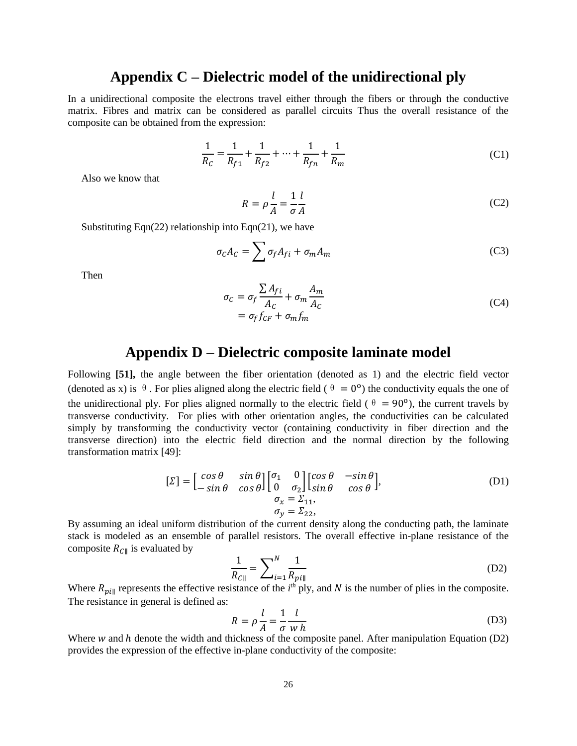# **Appendix C – Dielectric model of the unidirectional ply**

In a unidirectional composite the electrons travel either through the fibers or through the conductive matrix. Fibres and matrix can be considered as parallel circuits Thus the overall resistance of the composite can be obtained from the expression:

$$
\frac{1}{R_C} = \frac{1}{R_{f1}} + \frac{1}{R_{f2}} + \dots + \frac{1}{R_{fn}} + \frac{1}{R_m}
$$
(C1)

Also we know that

$$
R = \rho \frac{l}{A} = \frac{1}{\sigma A} \tag{C2}
$$

Substituting Eqn(22) relationship into Eqn(21), we have

$$
\sigma_C A_C = \sum \sigma_f A_{fi} + \sigma_m A_m \tag{C3}
$$

Then

$$
\sigma_C = \sigma_f \frac{\sum A_{fi}}{A_C} + \sigma_m \frac{A_m}{A_C}
$$
  
=  $\sigma_f f_{CF} + \sigma_m f_m$  (C4)

# **Appendix D – Dielectric composite laminate model**

Following **[51],** the angle between the fiber orientation (denoted as 1) and the electric field vector (denoted as x) is  $\theta$ . For plies aligned along the electric field ( $\theta = 0^{\circ}$ ) the conductivity equals the one of the unidirectional ply. For plies aligned normally to the electric field ( $\theta = 90^{\circ}$ ), the current travels by transverse conductivity. For plies with other orientation angles, the conductivities can be calculated simply by transforming the conductivity vector (containing conductivity in fiber direction and the transverse direction) into the electric field direction and the normal direction by the following transformation matrix [49]:

$$
\begin{bmatrix} \Sigma \end{bmatrix} = \begin{bmatrix} \cos \theta & \sin \theta \\ -\sin \theta & \cos \theta \end{bmatrix} \begin{bmatrix} \sigma_1 & 0 \\ 0 & \sigma_2 \end{bmatrix} \begin{bmatrix} \cos \theta & -\sin \theta \\ \sin \theta & \cos \theta \end{bmatrix},
$$
\n
$$
\sigma_x = \Sigma_{11},
$$
\n
$$
\sigma_y = \Sigma_{22},
$$
\n(D1)

By assuming an ideal uniform distribution of the current density along the conducting path, the laminate stack is modeled as an ensemble of parallel resistors. The overall effective in-plane resistance of the composite  $R_{\text{Cl}}$  is evaluated by

$$
\frac{1}{R_{C\parallel}} = \sum_{i=1}^{N} \frac{1}{R_{pi\parallel}}
$$
(D2)

Where  $R_{p\ell\parallel}$  represents the effective resistance of the  $i^{th}$  ply, and N is the number of plies in the composite. The resistance in general is defined as:

$$
R = \rho \frac{l}{A} = \frac{1}{\sigma} \frac{l}{w h}
$$
 (D3)

Where  $w$  and  $h$  denote the width and thickness of the composite panel. After manipulation Equation (D2) provides the expression of the effective in-plane conductivity of the composite: